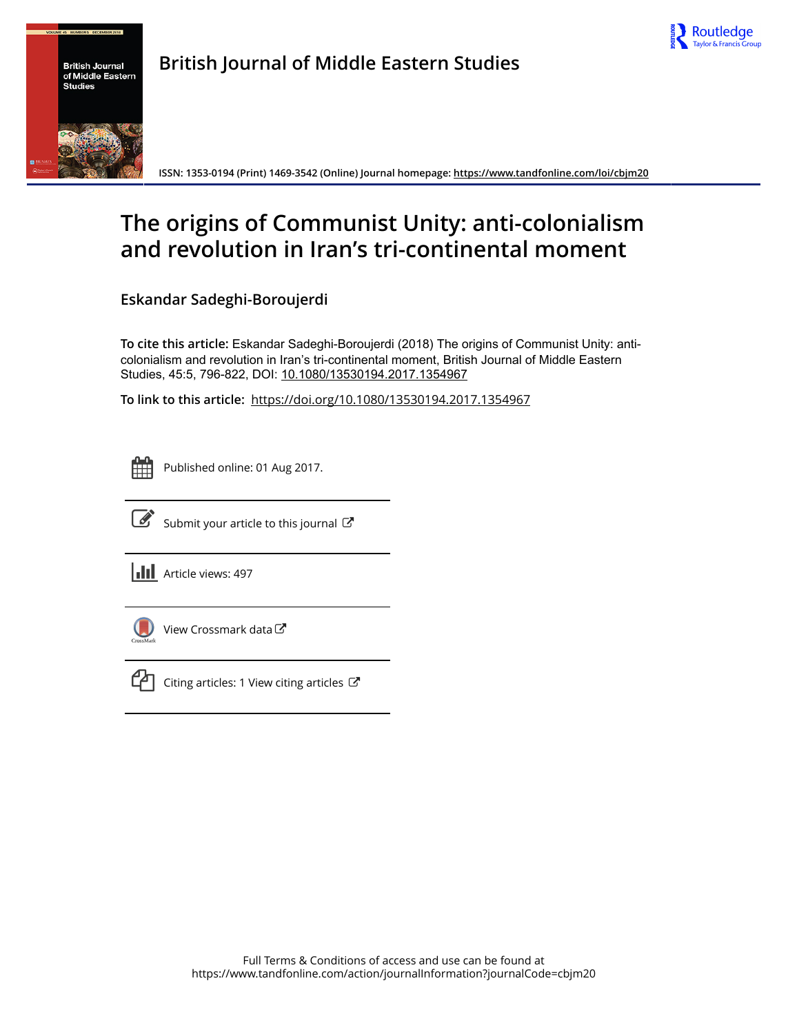

| <b>British Journal</b> |
|------------------------|
| of Middle Eastern      |
| <b>Studies</b>         |

**British Journal of Middle Eastern Studies**



**ISSN: 1353-0194 (Print) 1469-3542 (Online) Journal homepage:<https://www.tandfonline.com/loi/cbjm20>**

# **The origins of Communist Unity: anti-colonialism and revolution in Iran's tri-continental moment**

**Eskandar Sadeghi-Boroujerdi**

**To cite this article:** Eskandar Sadeghi-Boroujerdi (2018) The origins of Communist Unity: anticolonialism and revolution in Iran's tri-continental moment, British Journal of Middle Eastern Studies, 45:5, 796-822, DOI: [10.1080/13530194.2017.1354967](https://www.tandfonline.com/action/showCitFormats?doi=10.1080/13530194.2017.1354967)

**To link to this article:** <https://doi.org/10.1080/13530194.2017.1354967>

|  | - |  |
|--|---|--|
|  |   |  |
|  |   |  |
|  |   |  |

Published online: 01 Aug 2017.



 $\overrightarrow{S}$  [Submit your article to this journal](https://www.tandfonline.com/action/authorSubmission?journalCode=cbjm20&show=instructions)  $\overrightarrow{S}$ 

**III** Article views: 497



[View Crossmark data](http://crossmark.crossref.org/dialog/?doi=10.1080/13530194.2017.1354967&domain=pdf&date_stamp=2017-08-01)



 $\Box$  [Citing articles: 1 View citing articles](https://www.tandfonline.com/doi/citedby/10.1080/13530194.2017.1354967#tabModule)  $\Box$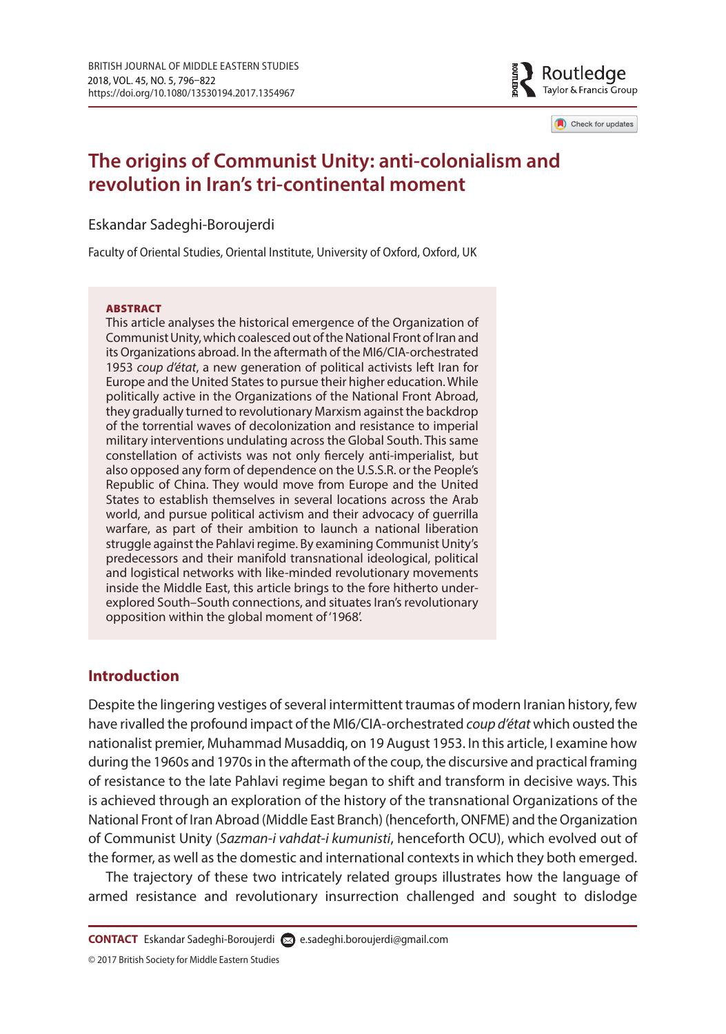Routledge Taylor & Francis Group

Check for updates

# **The origins of Communist Unity: anti-colonialism and revolution in Iran's tri-continental moment**

Eskandar Sadeghi-Boroujerdi

Faculty of Oriental Studies, Oriental Institute, University of Oxford, Oxford, UK

#### **ABSTRACT**

This article analyses the historical emergence of the Organization of Communist Unity, which coalesced out of the National Front of Iran and its Organizations abroad. In the aftermath of the MI6/CIA-orchestrated 1953 *coup d'état*, a new generation of political activists left Iran for Europe and the United States to pursue their higher education. While politically active in the Organizations of the National Front Abroad, they gradually turned to revolutionary Marxism against the backdrop of the torrential waves of decolonization and resistance to imperial military interventions undulating across the Global South. This same constellation of activists was not only fiercely anti-imperialist, but also opposed any form of dependence on the U.S.S.R. or the People's Republic of China. They would move from Europe and the United States to establish themselves in several locations across the Arab world, and pursue political activism and their advocacy of guerrilla warfare, as part of their ambition to launch a national liberation struggle against the Pahlavi regime. By examining Communist Unity's predecessors and their manifold transnational ideological, political and logistical networks with like-minded revolutionary movements inside the Middle East, this article brings to the fore hitherto underexplored South–South connections, and situates Iran's revolutionary opposition within the global moment of '1968'.

#### **Introduction**

Despite the lingering vestiges of several intermittent traumas of modern Iranian history, few have rivalled the profound impact of the MI6/CIA-orchestrated *coup d'état* which ousted the nationalist premier, Muhammad Musaddiq, on 19 August 1953. In this article, I examine how during the 1960s and 1970s in the aftermath of the coup, the discursive and practical framing of resistance to the late Pahlavi regime began to shift and transform in decisive ways. This is achieved through an exploration of the history of the transnational Organizations of the National Front of Iran Abroad (Middle East Branch) (henceforth, ONFME) and the Organization of Communist Unity (*Sazman*-*i vahdat*-*i kumunisti*, henceforth OCU), which evolved out of the former, as well as the domestic and international contexts in which they both emerged.

The trajectory of these two intricately related groups illustrates how the language of armed resistance and revolutionary insurrection challenged and sought to dislodge

© 2017 British Society for Middle Eastern Studies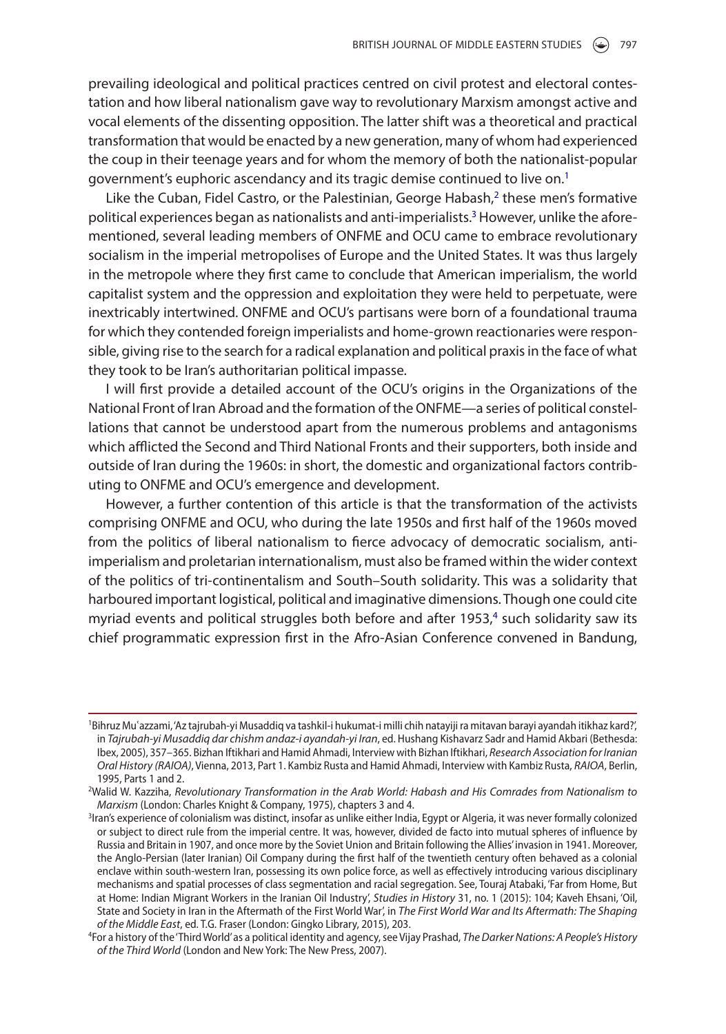prevailing ideological and political practices centred on civil protest and electoral contestation and how liberal nationalism gave way to revolutionary Marxism amongst active and vocal elements of the dissenting opposition. The latter shift was a theoretical and practical transformation that would be enacted by a new generation, many of whom had experienced the coup in their teenage years and for whom the memory of both the nationalist-popular government's euphoric ascendancy and its tragic demise continued to live on.[1](#page-2-0)

Like the Cuban, Fidel Castro, or the Palestinian, George Habash, $<sup>2</sup>$  $<sup>2</sup>$  $<sup>2</sup>$  these men's formative</sup> political experiences began as nationalists and anti-imperialists.[3](#page-2-2) However, unlike the aforementioned, several leading members of ONFME and OCU came to embrace revolutionary socialism in the imperial metropolises of Europe and the United States. It was thus largely in the metropole where they first came to conclude that American imperialism, the world capitalist system and the oppression and exploitation they were held to perpetuate, were inextricably intertwined. ONFME and OCU's partisans were born of a foundational trauma for which they contended foreign imperialists and home-grown reactionaries were responsible, giving rise to the search for a radical explanation and political praxis in the face of what they took to be Iran's authoritarian political impasse.

I will first provide a detailed account of the OCU's origins in the Organizations of the National Front of Iran Abroad and the formation of the ONFME—a series of political constellations that cannot be understood apart from the numerous problems and antagonisms which afflicted the Second and Third National Fronts and their supporters, both inside and outside of Iran during the 1960s: in short, the domestic and organizational factors contributing to ONFME and OCU's emergence and development.

However, a further contention of this article is that the transformation of the activists comprising ONFME and OCU, who during the late 1950s and first half of the 1960s moved from the politics of liberal nationalism to fierce advocacy of democratic socialism, antiimperialism and proletarian internationalism, must also be framed within the wider context of the politics of tri-continentalism and South–South solidarity. This was a solidarity that harboured important logistical, political and imaginative dimensions. Though one could cite myriad events and political struggles both before and after 1953,<sup>4</sup> such solidarity saw its chief programmatic expression first in the Afro-Asian Conference convened in Bandung,

<span id="page-2-0"></span><sup>1</sup> Bihruz Muʿazzami, 'Az tajrubah-yi Musaddiq va tashkil-i hukumat-i milli chih natayiji ra mitavan barayi ayandah itikhaz kard?', in *Tajrubah*-*yi Musaddiq dar chishm andaz*-*i ayandah*-*yi Iran*, ed. Hushang Kishavarz Sadr and Hamid Akbari (Bethesda: Ibex, 2005), 357–365. Bizhan Iftikhari and Hamid Ahmadi, Interview with Bizhan Iftikhari, *Research Association for Iranian Oral History (RAIOA)*, Vienna, 2013, Part 1. Kambiz Rusta and Hamid Ahmadi, Interview with Kambiz Rusta, *RAIOA*, Berlin, 1995, Parts 1 and 2.

<span id="page-2-1"></span><sup>2</sup> Walid W. Kazziha, *Revolutionary Transformation in the Arab World: Habash and His Comrades from Nationalism to Marxism* (London: Charles Knight & Company, 1975), chapters 3 and 4.

<span id="page-2-2"></span><sup>&</sup>lt;sup>3</sup>Iran's experience of colonialism was distinct, insofar as unlike either India, Egypt or Algeria, it was never formally colonized or subject to direct rule from the imperial centre. It was, however, divided de facto into mutual spheres of influence by Russia and Britain in 1907, and once more by the Soviet Union and Britain following the Allies' invasion in 1941. Moreover, the Anglo-Persian (later Iranian) Oil Company during the first half of the twentieth century often behaved as a colonial enclave within south-western Iran, possessing its own police force, as well as effectively introducing various disciplinary mechanisms and spatial processes of class segmentation and racial segregation. See, Touraj Atabaki, 'Far from Home, But at Home: Indian Migrant Workers in the Iranian Oil Industry', *Studies in History* 31, no. 1 (2015): 104; Kaveh Ehsani, 'Oil, State and Society in Iran in the Aftermath of the First World War', in *The First World War and Its Aftermath: The Shaping of the Middle East*, ed. T.G. Fraser (London: Gingko Library, 2015), 203.

<span id="page-2-3"></span><sup>4</sup> For a history of the 'Third World' as a political identity and agency, see Vijay Prashad, *The Darker Nations: A People's History of the Third World* (London and New York: The New Press, 2007).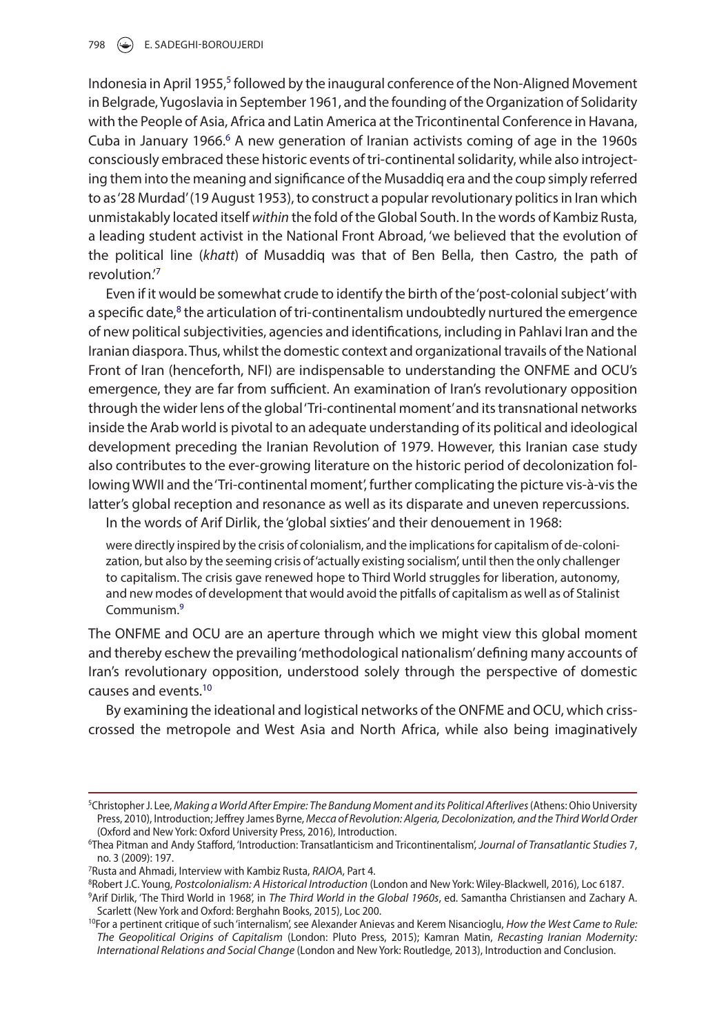Indonesia in April 19[5](#page-3-0)5,<sup>5</sup> followed by the inaugural conference of the Non-Aligned Movement in Belgrade, Yugoslavia in September 1961, and the founding of the Organization of Solidarity with the People of Asia, Africa and Latin America at the Tricontinental Conference in Havana, Cuba in January 1966.<sup>6</sup> A new generation of Iranian activists coming of age in the 1960s consciously embraced these historic events of tri-continental solidarity, while also introjecting them into the meaning and significance of the Musaddiq era and the coup simply referred to as '28 Murdad' (19 August 1953), to construct a popular revolutionary politics in Iran which unmistakably located itself *within* the fold of the Global South. In the words of Kambiz Rusta, a leading student activist in the National Front Abroad, 'we believed that the evolution of the political line (*khatt*) of Musaddiq was that of Ben Bella, then Castro, the path of revolution.'[7](#page-3-2)

Even if it would be somewhat crude to identify the birth of the 'post-colonial subject' with a specific date, $8$  the articulation of tri-continentalism undoubtedly nurtured the emergence of new political subjectivities, agencies and identifications, including in Pahlavi Iran and the Iranian diaspora. Thus, whilst the domestic context and organizational travails of the National Front of Iran (henceforth, NFI) are indispensable to understanding the ONFME and OCU's emergence, they are far from sufficient. An examination of Iran's revolutionary opposition through the wider lens of the global 'Tri-continental moment' and its transnational networks inside the Arab world is pivotal to an adequate understanding of its political and ideological development preceding the Iranian Revolution of 1979. However, this Iranian case study also contributes to the ever-growing literature on the historic period of decolonization following WWII and the 'Tri-continental moment', further complicating the picture vis-à-vis the latter's global reception and resonance as well as its disparate and uneven repercussions.

In the words of Arif Dirlik, the 'global sixties' and their denouement in 1968:

were directly inspired by the crisis of colonialism, and the implications for capitalism of de-colonization, but also by the seeming crisis of 'actually existing socialism', until then the only challenger to capitalism. The crisis gave renewed hope to Third World struggles for liberation, autonomy, and new modes of development that would avoid the pitfalls of capitalism as well as of Stalinist Communism[.9](#page-3-4)

The ONFME and OCU are an aperture through which we might view this global moment and thereby eschew the prevailing 'methodological nationalism' defining many accounts of Iran's revolutionary opposition, understood solely through the perspective of domestic causes and events<sup>10</sup>

By examining the ideational and logistical networks of the ONFME and OCU, which crisscrossed the metropole and West Asia and North Africa, while also being imaginatively

<span id="page-3-0"></span><sup>5</sup> Christopher J. Lee, *Making a World After Empire: The Bandung Moment and its Political Afterlives* (Athens: Ohio University Press, 2010), Introduction; Jeffrey James Byrne, *Mecca of Revolution: Algeria, Decolonization, and the Third World Order* (Oxford and New York: Oxford University Press, 2016), Introduction.

<span id="page-3-1"></span><sup>6</sup> Thea Pitman and Andy Stafford, 'Introduction: Transatlanticism and Tricontinentalism', *Journal of Transatlantic Studies* 7, no. 3 (2009): 197.

<span id="page-3-2"></span><sup>7</sup> Rusta and Ahmadi, Interview with Kambiz Rusta, *RAIOA*, Part 4.

<span id="page-3-3"></span><sup>8</sup> Robert J.C. Young, *Postcolonialism: A Historical Introduction* (London and New York: Wiley-Blackwell, 2016), Loc 6187.

<span id="page-3-4"></span><sup>9</sup> Arif Dirlik, 'The Third World in 1968', in *The Third World in the Global 1960s*, ed. Samantha Christiansen and Zachary A. Scarlett (New York and Oxford: Berghahn Books, 2015), Loc 200.

<span id="page-3-5"></span><sup>10</sup>For a pertinent critique of such 'internalism', see Alexander Anievas and Kerem Nisancioglu, *How the West Came to Rule: The Geopolitical Origins of Capitalism* (London: Pluto Press, 2015); Kamran Matin, *Recasting Iranian Modernity: International Relations and Social Change* (London and New York: Routledge, 2013), Introduction and Conclusion.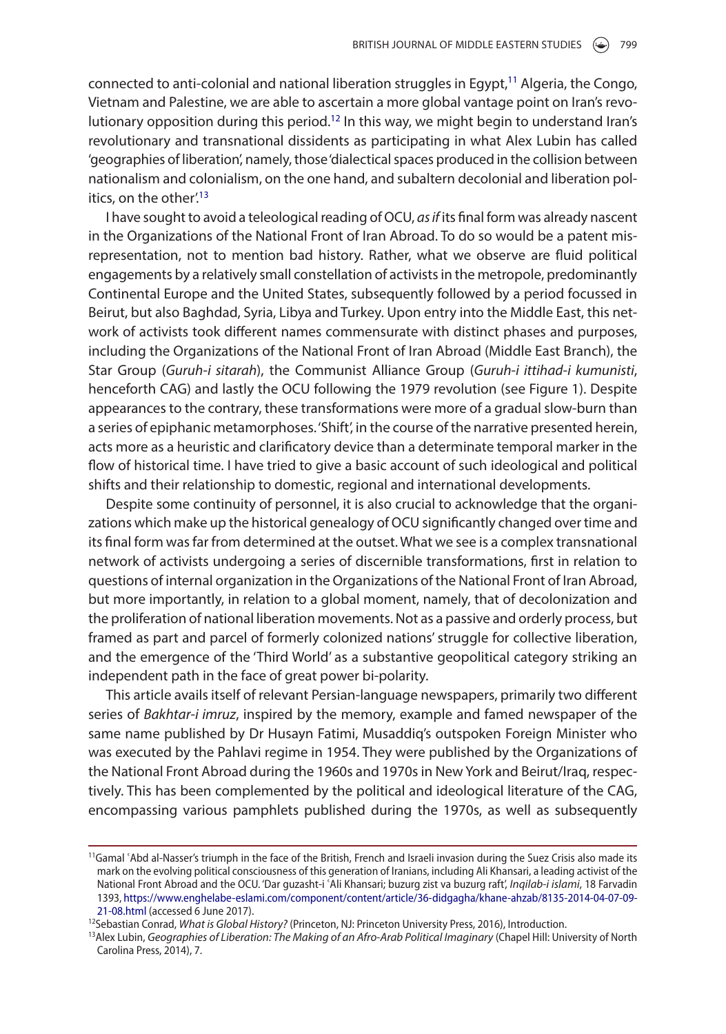connected to anti-colonial and national liberation struggles in Egypt,<sup>11</sup> Algeria, the Congo, Vietnam and Palestine, we are able to ascertain a more global vantage point on Iran's revo-lutionary opposition during this period.<sup>[12](#page-4-1)</sup> In this way, we might begin to understand Iran's revolutionary and transnational dissidents as participating in what Alex Lubin has called 'geographies of liberation', namely, those 'dialectical spaces produced in the collision between nationalism and colonialism, on the one hand, and subaltern decolonial and liberation politics, on the other<sup>'13</sup>

I have sought to avoid a teleological reading of OCU, *as if* its final form was already nascent in the Organizations of the National Front of Iran Abroad. To do so would be a patent misrepresentation, not to mention bad history. Rather, what we observe are fluid political engagements by a relatively small constellation of activists in the metropole, predominantly Continental Europe and the United States, subsequently followed by a period focussed in Beirut, but also Baghdad, Syria, Libya and Turkey. Upon entry into the Middle East, this network of activists took different names commensurate with distinct phases and purposes, including the Organizations of the National Front of Iran Abroad (Middle East Branch), the Star Group (*Guruh*-*i sitarah*), the Communist Alliance Group (*Guruh*-*i ittihad*-*i kumunisti*, henceforth CAG) and lastly the OCU following the 1979 revolution (see Figure 1). Despite appearances to the contrary, these transformations were more of a gradual slow-burn than a series of epiphanic metamorphoses. 'Shift', in the course of the narrative presented herein, acts more as a heuristic and clarificatory device than a determinate temporal marker in the flow of historical time. I have tried to give a basic account of such ideological and political shifts and their relationship to domestic, regional and international developments.

Despite some continuity of personnel, it is also crucial to acknowledge that the organizations which make up the historical genealogy of OCU significantly changed over time and its final form was far from determined at the outset. What we see is a complex transnational network of activists undergoing a series of discernible transformations, first in relation to questions of internal organization in the Organizations of the National Front of Iran Abroad, but more importantly, in relation to a global moment, namely, that of decolonization and the proliferation of national liberation movements. Not as a passive and orderly process, but framed as part and parcel of formerly colonized nations' struggle for collective liberation, and the emergence of the 'Third World' as a substantive geopolitical category striking an independent path in the face of great power bi-polarity.

This article avails itself of relevant Persian-language newspapers, primarily two different series of *Bakhtar*-*i imruz*, inspired by the memory, example and famed newspaper of the same name published by Dr Husayn Fatimi, Musaddiq's outspoken Foreign Minister who was executed by the Pahlavi regime in 1954. They were published by the Organizations of the National Front Abroad during the 1960s and 1970s in New York and Beirut/Iraq, respectively. This has been complemented by the political and ideological literature of the CAG, encompassing various pamphlets published during the 1970s, as well as subsequently

<span id="page-4-0"></span><sup>&</sup>lt;sup>11</sup>Gamal 'Abd al-Nasser's triumph in the face of the British, French and Israeli invasion during the Suez Crisis also made its mark on the evolving political consciousness of this generation of Iranians, including Ali Khansari, a leading activist of the National Front Abroad and the OCU. 'Dar guzasht-i ʿAli Khansari; buzurg zist va buzurg raft', *Inqilab*-*i islami*, 18 Farvadin 1393, [https://www.enghelabe-eslami.com/component/content/article/36-didgagha/khane-ahzab/8135-2014-04-07-09-](https://www.enghelabe-eslami.com/component/content/article/36-didgagha/khane-ahzab/8135-2014-04-07-09-21-08.html) [21-08.html](https://www.enghelabe-eslami.com/component/content/article/36-didgagha/khane-ahzab/8135-2014-04-07-09-21-08.html) (accessed 6 June 2017).

<span id="page-4-1"></span><sup>12</sup>Sebastian Conrad, *What is Global History?* (Princeton, NJ: Princeton University Press, 2016), Introduction.

<span id="page-4-2"></span><sup>13</sup>Alex Lubin, *Geographies of Liberation: The Making of an Afro*-*Arab Political Imaginary* (Chapel Hill: University of North Carolina Press, 2014), 7.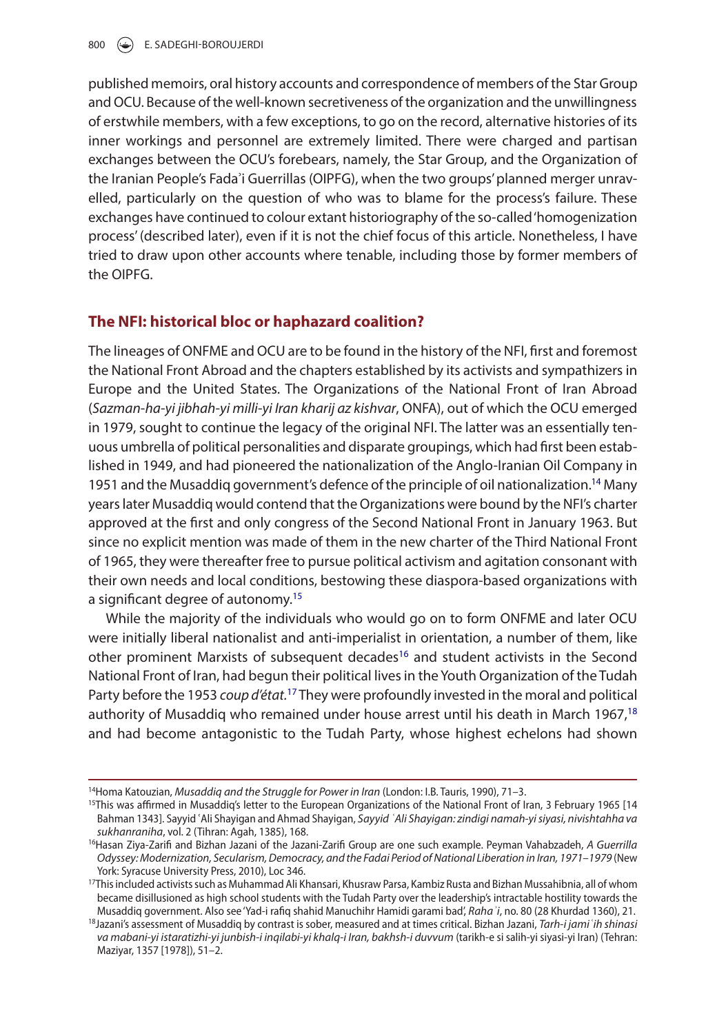published memoirs, oral history accounts and correspondence of members of the Star Group and OCU. Because of the well-known secretiveness of the organization and the unwillingness of erstwhile members, with a few exceptions, to go on the record, alternative histories of its inner workings and personnel are extremely limited. There were charged and partisan exchanges between the OCU's forebears, namely, the Star Group, and the Organization of the Iranian People's Fadaʾi Guerrillas (OIPFG), when the two groups' planned merger unravelled, particularly on the question of who was to blame for the process's failure. These exchanges have continued to colour extant historiography of the so-called 'homogenization process' (described later), even if it is not the chief focus of this article. Nonetheless, I have tried to draw upon other accounts where tenable, including those by former members of the OIPFG.

#### **The NFI: historical bloc or haphazard coalition?**

The lineages of ONFME and OCU are to be found in the history of the NFI, first and foremost the National Front Abroad and the chapters established by its activists and sympathizers in Europe and the United States. The Organizations of the National Front of Iran Abroad (*Sazman*-*ha*-*yi jibhah*-*yi milli*-*yi Iran kharij az kishvar*, ONFA), out of which the OCU emerged in 1979, sought to continue the legacy of the original NFI. The latter was an essentially tenuous umbrella of political personalities and disparate groupings, which had first been established in 1949, and had pioneered the nationalization of the Anglo-Iranian Oil Company in 1951 and the Musaddig government's defence of the principle of oil nationalization.<sup>14</sup> Many years later Musaddiq would contend that the Organizations were bound by the NFI's charter approved at the first and only congress of the Second National Front in January 1963. But since no explicit mention was made of them in the new charter of the Third National Front of 1965, they were thereafter free to pursue political activism and agitation consonant with their own needs and local conditions, bestowing these diaspora-based organizations with a significant degree of autonomy.[15](#page-5-1)

While the majority of the individuals who would go on to form ONFME and later OCU were initially liberal nationalist and anti-imperialist in orientation, a number of them, like other prominent Marxists of subsequent decades<sup>16</sup> and student activists in the Second National Front of Iran, had begun their political lives in the Youth Organization of the Tudah Party before the 1953 *coup d'état.*[17](#page-5-3) They were profoundly invested in the moral and political authority of Musaddiq who remained under house arrest until his death in March 1967,<sup>[18](#page-5-4)</sup> and had become antagonistic to the Tudah Party, whose highest echelons had shown

<span id="page-5-0"></span><sup>14</sup>Homa Katouzian, *Musaddiq and the Struggle for Power in Iran* (London: I.B. Tauris, 1990), 71–3.

<span id="page-5-1"></span><sup>&</sup>lt;sup>15</sup>This was affirmed in Musaddiq's letter to the European Organizations of the National Front of Iran, 3 February 1965 [14 Bahman 1343]. Sayyid ʿAli Shayigan and Ahmad Shayigan, *Sayyid ʿAli Shayigan: zindigi namah*-*yi siyasi, nivishtahha va sukhanraniha*, vol. 2 (Tihran: Agah, 1385), 168.

<span id="page-5-2"></span><sup>16</sup>Hasan Ziya-Zarifi and Bizhan Jazani of the Jazani-Zarifi Group are one such example. Peyman Vahabzadeh, *A Guerrilla Odyssey: Modernization, Secularism, Democracy, and the Fadai Period of National Liberation in Iran, 1971*–*1979* (New York: Syracuse University Press, 2010), Loc 346.

<span id="page-5-3"></span><sup>&</sup>lt;sup>17</sup>This included activists such as Muhammad Ali Khansari, Khusraw Parsa, Kambiz Rusta and Bizhan Mussahibnia, all of whom became disillusioned as high school students with the Tudah Party over the leadership's intractable hostility towards the Musaddiq government. Also see 'Yad-i rafiq shahid Manuchihr Hamidi garami bad', *Rahaʾi*, no. 80 (28 Khurdad 1360), 21.

<span id="page-5-4"></span><sup>18</sup>Jazani's assessment of Musaddiq by contrast is sober, measured and at times critical. Bizhan Jazani, *Tarh*-*i jamiʿih shinasi va mabani*-*yi istaratizhi*-*yi junbish*-*i inqilabi*-*yi khalq*-*i Iran, bakhsh*-*i duvvum* (tarikh-e si salih-yi siyasi-yi Iran) (Tehran: Maziyar, 1357 [1978]), 51–2.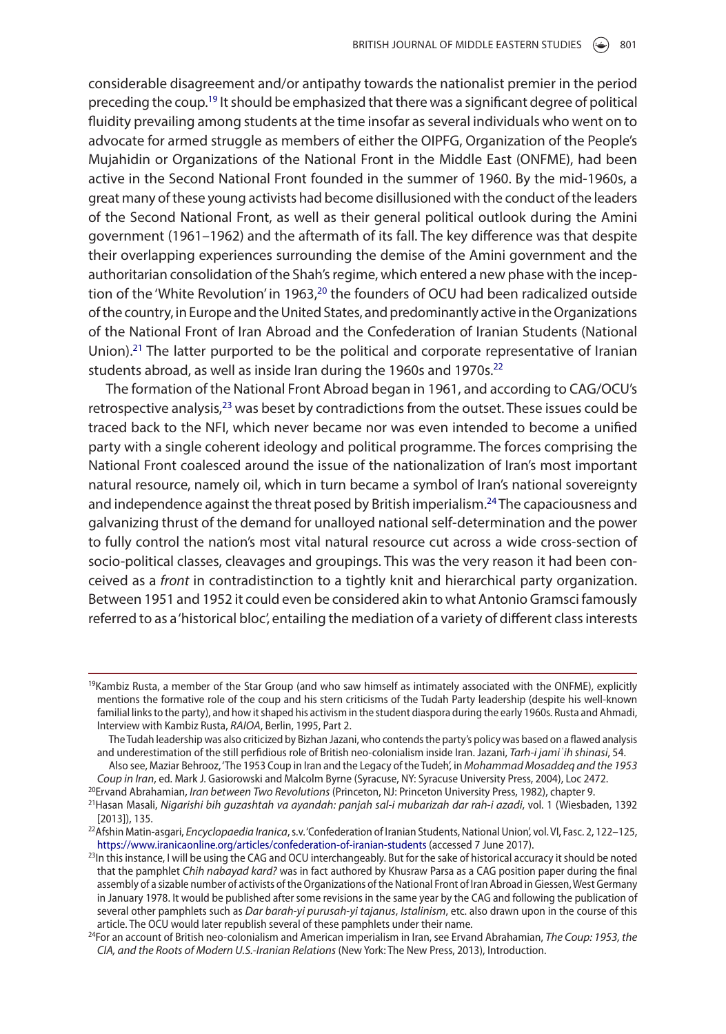considerable disagreement and/or antipathy towards the nationalist premier in the period preceding the coup[.19](#page-6-0) It should be emphasized that there was a significant degree of political fluidity prevailing among students at the time insofar as several individuals who went on to advocate for armed struggle as members of either the OIPFG. Organization of the People's Mujahidin or Organizations of the National Front in the Middle East (ONFME), had been active in the Second National Front founded in the summer of 1960. By the mid-1960s, a great many of these young activists had become disillusioned with the conduct of the leaders of the Second National Front, as well as their general political outlook during the Amini government (1961–1962) and the aftermath of its fall. The key difference was that despite their overlapping experiences surrounding the demise of the Amini government and the authoritarian consolidation of the Shah's regime, which entered a new phase with the incep-tion of the 'White Revolution' in 1963,<sup>[20](#page-6-1)</sup> the founders of OCU had been radicalized outside of the country, in Europe and the United States, and predominantly active in the Organizations of the National Front of Iran Abroad and the Confederation of Iranian Students (National Union).<sup>21</sup> The latter purported to be the political and corporate representative of Iranian students abroad, as well as inside Iran during the 1960s and 1970s.<sup>22</sup>

The formation of the National Front Abroad began in 1961, and according to CAG/OCU's retrospective analysis,<sup>23</sup> was beset by contradictions from the outset. These issues could be traced back to the NFI, which never became nor was even intended to become a unified party with a single coherent ideology and political programme. The forces comprising the National Front coalesced around the issue of the nationalization of Iran's most important natural resource, namely oil, which in turn became a symbol of Iran's national sovereignty and independence against the threat posed by British imperialism.[24](#page-6-5) The capaciousness and galvanizing thrust of the demand for unalloyed national self-determination and the power to fully control the nation's most vital natural resource cut across a wide cross-section of socio-political classes, cleavages and groupings. This was the very reason it had been conceived as a *front* in contradistinction to a tightly knit and hierarchical party organization. Between 1951 and 1952 it could even be considered akin to what Antonio Gramsci famously referred to as a 'historical bloc', entailing the mediation of a variety of different class interests

<span id="page-6-0"></span> $19$ Kambiz Rusta, a member of the Star Group (and who saw himself as intimately associated with the ONFME), explicitly mentions the formative role of the coup and his stern criticisms of the Tudah Party leadership (despite his well-known familial links to the party), and how it shaped his activism in the student diaspora during the early 1960s. Rusta and Ahmadi, Interview with Kambiz Rusta, *RAIOA*, Berlin, 1995, Part 2.

The Tudah leadership was also criticized by Bizhan Jazani, who contends the party's policy was based on a flawed analysis and underestimation of the still perfidious role of British neo-colonialism inside Iran. Jazani, *Tarh*-*i jamiʿih shinasi*, 54.

Also see, Maziar Behrooz, 'The 1953 Coup in Iran and the Legacy of the Tudeh', in *Mohammad Mosaddeq and the 1953 Coup in Iran*, ed. Mark J. Gasiorowski and Malcolm Byrne (Syracuse, NY: Syracuse University Press, 2004), Loc 2472.

<span id="page-6-1"></span><sup>20</sup>Ervand Abrahamian, *Iran between Two Revolutions* (Princeton, NJ: Princeton University Press, 1982), chapter 9.

<span id="page-6-2"></span><sup>21</sup>Hasan Masali, *Nigarishi bih guzashtah va ayandah: panjah sal*-*i mubarizah dar rah*-*i azadi*, vol. 1 (Wiesbaden, 1392 [2013]), 135.

<span id="page-6-3"></span><sup>22</sup>Afshin Matin-asgari, *Encyclopaedia Iranica*, s.v. 'Confederation of Iranian Students, National Union', vol. VI, Fasc. 2, 122–125, <https://www.iranicaonline.org/articles/confederation-of-iranian-students> (accessed 7 June 2017).

<span id="page-6-4"></span><sup>&</sup>lt;sup>23</sup>In this instance, I will be using the CAG and OCU interchangeably. But for the sake of historical accuracy it should be noted that the pamphlet *Chih nabayad kard?* was in fact authored by Khusraw Parsa as a CAG position paper during the final assembly of a sizable number of activists of the Organizations of the National Front of Iran Abroad in Giessen, West Germany in January 1978. It would be published after some revisions in the same year by the CAG and following the publication of several other pamphlets such as *Dar barah*-*yi purusah*-*yi tajanus*, *Istalinism*, etc. also drawn upon in the course of this article. The OCU would later republish several of these pamphlets under their name.

<span id="page-6-5"></span><sup>24</sup>For an account of British neo-colonialism and American imperialism in Iran, see Ervand Abrahamian, *The Coup: 1953, the CIA, and the Roots of Modern U.S.*-*Iranian Relations* (New York: The New Press, 2013), Introduction.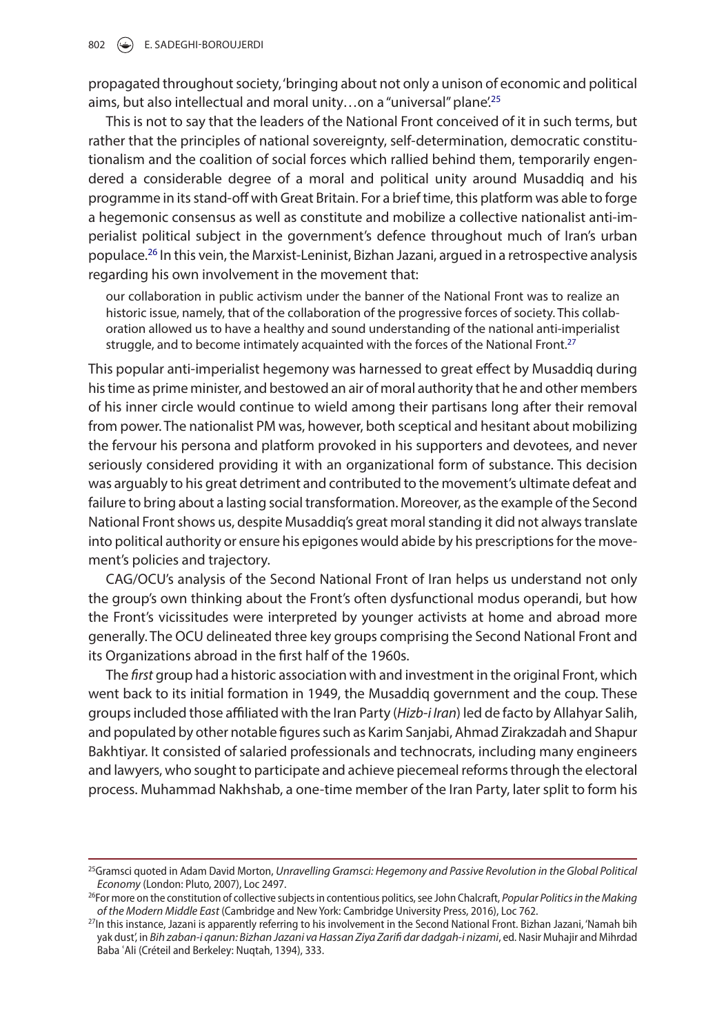propagated throughout society, 'bringing about not only a unison of economic and political aims, but also intellectual and moral unity...on a "universal" plane<sup>'15</sup>

This is not to say that the leaders of the National Front conceived of it in such terms, but rather that the principles of national sovereignty, self-determination, democratic constitutionalism and the coalition of social forces which rallied behind them, temporarily engendered a considerable degree of a moral and political unity around Musaddiq and his programme in its stand-off with Great Britain. For a brief time, this platform was able to forge a hegemonic consensus as well as constitute and mobilize a collective nationalist anti-imperialist political subject in the government's defence throughout much of Iran's urban populace.<sup>26</sup> In this vein, the Marxist-Leninist, Bizhan Jazani, argued in a retrospective analysis regarding his own involvement in the movement that:

our collaboration in public activism under the banner of the National Front was to realize an historic issue, namely, that of the collaboration of the progressive forces of society. This collaboration allowed us to have a healthy and sound understanding of the national anti-imperialist struggle, and to become intimately acquainted with the forces of the National Front.<sup>[27](#page-7-2)</sup>

This popular anti-imperialist hegemony was harnessed to great effect by Musaddiq during his time as prime minister, and bestowed an air of moral authority that he and other members of his inner circle would continue to wield among their partisans long after their removal from power. The nationalist PM was, however, both sceptical and hesitant about mobilizing the fervour his persona and platform provoked in his supporters and devotees, and never seriously considered providing it with an organizational form of substance. This decision was arguably to his great detriment and contributed to the movement's ultimate defeat and failure to bring about a lasting social transformation. Moreover, as the example of the Second National Front shows us, despite Musaddiq's great moral standing it did not always translate into political authority or ensure his epigones would abide by his prescriptions for the movement's policies and trajectory.

CAG/OCU's analysis of the Second National Front of Iran helps us understand not only the group's own thinking about the Front's often dysfunctional modus operandi, but how the Front's vicissitudes were interpreted by younger activists at home and abroad more generally. The OCU delineated three key groups comprising the Second National Front and its Organizations abroad in the first half of the 1960s.

The *first* group had a historic association with and investment in the original Front, which went back to its initial formation in 1949, the Musaddiq government and the coup. These groups included those affiliated with the Iran Party (*Hizb*-*i Iran*) led de facto by Allahyar Salih, and populated by other notable figures such as Karim Sanjabi, Ahmad Zirakzadah and Shapur Bakhtiyar. It consisted of salaried professionals and technocrats, including many engineers and lawyers, who sought to participate and achieve piecemeal reforms through the electoral process. Muhammad Nakhshab, a one-time member of the Iran Party, later split to form his

<span id="page-7-0"></span><sup>25</sup>Gramsci quoted in Adam David Morton, *Unravelling Gramsci: Hegemony and Passive Revolution in the Global Political Economy* (London: Pluto, 2007), Loc 2497.

<span id="page-7-1"></span><sup>26</sup>For more on the constitution of collective subjects in contentious politics, see John Chalcraft, *Popular Politics in the Making of the Modern Middle East* (Cambridge and New York: Cambridge University Press, 2016), Loc 762.

<span id="page-7-2"></span><sup>&</sup>lt;sup>27</sup>In this instance, Jazani is apparently referring to his involvement in the Second National Front. Bizhan Jazani, 'Namah bih yak dust', in *Bih zaban*-*i qanun: Bizhan Jazani va Hassan Ziya Zarifi dar dadgah*-*i nizami*, ed. Nasir Muhajir and Mihrdad Baba ʿAli (Créteil and Berkeley: Nuqtah, 1394), 333.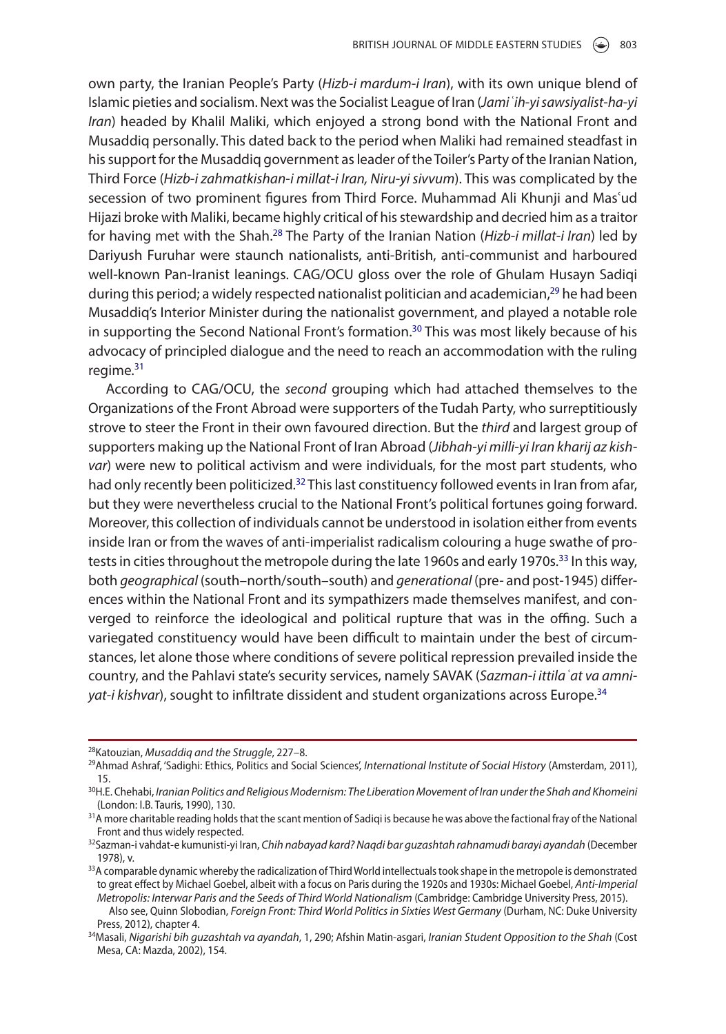own party, the Iranian People's Party (*Hizb*-*i mardum*-*i Iran*), with its own unique blend of Islamic pieties and socialism. Next was the Socialist League of Iran (*Jamiʿih*-*yi sawsiyalist*-*ha*-*yi Iran*) headed by Khalil Maliki, which enjoyed a strong bond with the National Front and Musaddiq personally. This dated back to the period when Maliki had remained steadfast in his support for the Musaddiq government as leader of the Toiler's Party of the Iranian Nation, Third Force (*Hizb*-*i zahmatkishan*-*i millat*-*i Iran, Niru*-*yi sivvum*). This was complicated by the secession of two prominent figures from Third Force. Muhammad Ali Khunji and Masʿud Hijazi broke with Maliki, became highly critical of his stewardship and decried him as a traitor for having met with the Shah[.28](#page-8-0) The Party of the Iranian Nation (*Hizb*-*i millat*-*i Iran*) led by Dariyush Furuhar were staunch nationalists, anti-British, anti-communist and harboured well-known Pan-Iranist leanings. CAG/OCU gloss over the role of Ghulam Husayn Sadiqi during this period; a widely respected nationalist politician and academician,<sup>[29](#page-8-1)</sup> he had been Musaddiq's Interior Minister during the nationalist government, and played a notable role in supporting the Second National Front's formation[.30](#page-8-2) This was most likely because of his advocacy of principled dialogue and the need to reach an accommodation with the ruling regime.<sup>31</sup>

According to CAG/OCU, the *second* grouping which had attached themselves to the Organizations of the Front Abroad were supporters of the Tudah Party, who surreptitiously strove to steer the Front in their own favoured direction. But the *third* and largest group of supporters making up the National Front of Iran Abroad (*Jibhah*-*yi milli*-*yi Iran kharij az kishvar*) were new to political activism and were individuals, for the most part students, who had only recently been politicized.<sup>32</sup> This last constituency followed events in Iran from afar, but they were nevertheless crucial to the National Front's political fortunes going forward. Moreover, this collection of individuals cannot be understood in isolation either from events inside Iran or from the waves of anti-imperialist radicalism colouring a huge swathe of pro-tests in cities throughout the metropole during the late 1960s and early 1970s.<sup>[33](#page-8-5)</sup> In this way, both *geographical* (south–north/south–south) and *generational* (pre- and post-1945) differences within the National Front and its sympathizers made themselves manifest, and converged to reinforce the ideological and political rupture that was in the offing. Such a variegated constituency would have been difficult to maintain under the best of circumstances, let alone those where conditions of severe political repression prevailed inside the country, and the Pahlavi state's security services, namely SAVAK (*Sazman*-*i ittilaʿat va amniyat*-*i kishvar*), sought to infiltrate dissident and student organizations across Europe.[34](#page-8-6)

<span id="page-8-0"></span><sup>28</sup>Katouzian, *Musaddiq and the Struggle*, 227–8.

<span id="page-8-1"></span><sup>29</sup>Ahmad Ashraf, 'Sadighi: Ethics, Politics and Social Sciences', *International Institute of Social History* (Amsterdam, 2011), 15.

<span id="page-8-2"></span><sup>30</sup>H.E. Chehabi, *Iranian Politics and Religious Modernism: The Liberation Movement of Iran under the Shah and Khomeini* (London: I.B. Tauris, 1990), 130.

<span id="page-8-3"></span><sup>&</sup>lt;sup>31</sup>A more charitable reading holds that the scant mention of Sadiqi is because he was above the factional fray of the National Front and thus widely respected.

<span id="page-8-4"></span><sup>32</sup>Sazman-i vahdat-e kumunisti-yi Iran, *Chih nabayad kard? Naqdi bar guzashtah rahnamudi barayi ayandah* (December 1978), v.

<span id="page-8-5"></span><sup>&</sup>lt;sup>33</sup>A comparable dynamic whereby the radicalization of Third World intellectuals took shape in the metropole is demonstrated to great effect by Michael Goebel, albeit with a focus on Paris during the 1920s and 1930s: Michael Goebel, *Anti*-*Imperial Metropolis: Interwar Paris and the Seeds of Third World Nationalism* (Cambridge: Cambridge University Press, 2015). Also see, Quinn Slobodian, *Foreign Front: Third World Politics in Sixties West Germany* (Durham, NC: Duke University

Press, 2012), chapter 4.

<span id="page-8-6"></span><sup>34</sup>Masali, *Nigarishi bih guzashtah va ayandah*, 1, 290; Afshin Matin-asgari, *Iranian Student Opposition to the Shah* (Cost Mesa, CA: Mazda, 2002), 154.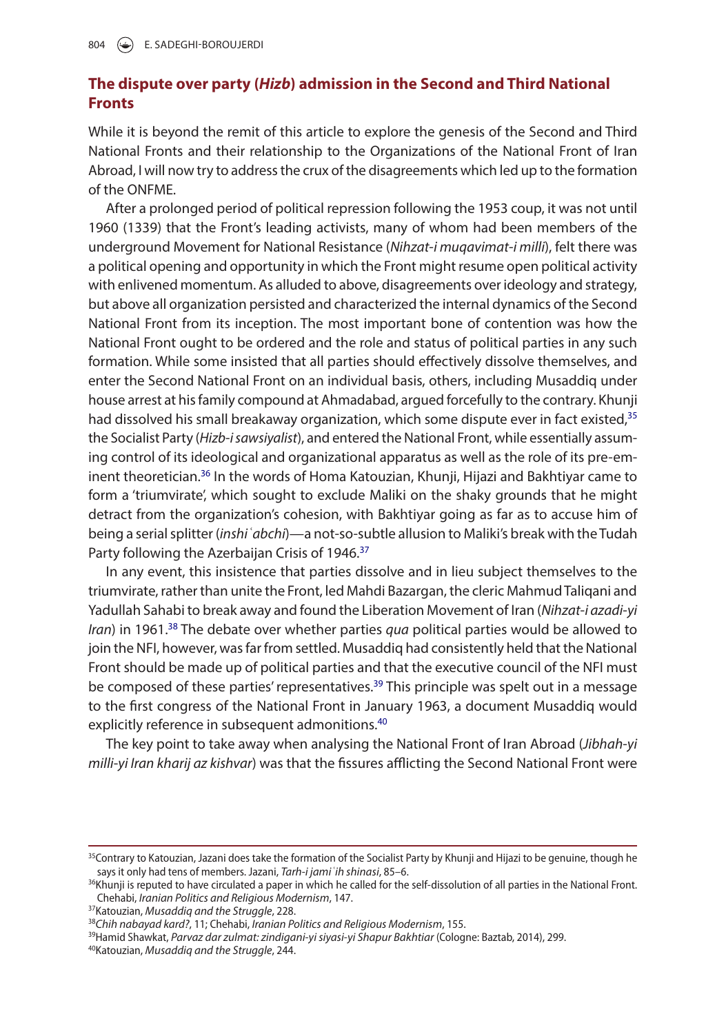# **The dispute over party (***Hizb***) admission in the Second and Third National Fronts**

While it is beyond the remit of this article to explore the genesis of the Second and Third National Fronts and their relationship to the Organizations of the National Front of Iran Abroad, I will now try to address the crux of the disagreements which led up to the formation of the ONFME.

After a prolonged period of political repression following the 1953 coup, it was not until 1960 (1339) that the Front's leading activists, many of whom had been members of the underground Movement for National Resistance (*Nihzat*-*i muqavimat*-*i milli*), felt there was a political opening and opportunity in which the Front might resume open political activity with enlivened momentum. As alluded to above, disagreements over ideology and strategy, but above all organization persisted and characterized the internal dynamics of the Second National Front from its inception. The most important bone of contention was how the National Front ought to be ordered and the role and status of political parties in any such formation. While some insisted that all parties should effectively dissolve themselves, and enter the Second National Front on an individual basis, others, including Musaddiq under house arrest at his family compound at Ahmadabad, argued forcefully to the contrary. Khunji had dissolved his small breakaway organization, which some dispute ever in fact existed,<sup>[35](#page-9-0)</sup> the Socialist Party (*Hizb*-*i sawsiyalist*), and entered the National Front, while essentially assuming control of its ideological and organizational apparatus as well as the role of its pre-eminent theoretician[.36](#page-9-1) In the words of Homa Katouzian, Khunji, Hijazi and Bakhtiyar came to form a 'triumvirate', which sought to exclude Maliki on the shaky grounds that he might detract from the organization's cohesion, with Bakhtiyar going as far as to accuse him of being a serial splitter (*inshiʿabchi*)—a not-so-subtle allusion to Maliki's break with the Tudah Party following the Azerbaijan Crisis of 1946.<sup>37</sup>

In any event, this insistence that parties dissolve and in lieu subject themselves to the triumvirate, rather than unite the Front, led Mahdi Bazargan, the cleric Mahmud Taliqani and Yadullah Sahabi to break away and found the Liberation Movement of Iran (*Nihzat*-*i azadi*-*yi Iran*) in 1961[.38](#page-9-3) The debate over whether parties *qua* political parties would be allowed to join the NFI, however, was far from settled. Musaddiq had consistently held that the National Front should be made up of political parties and that the executive council of the NFI must be composed of these parties' representatives.<sup>[39](#page-9-4)</sup> This principle was spelt out in a message to the first congress of the National Front in January 1963, a document Musaddiq would explicitly reference in subsequent admonitions.<sup>[40](#page-9-5)</sup>

The key point to take away when analysing the National Front of Iran Abroad (*Jibhah*-*yi milli*-*yi Iran kharij az kishvar*) was that the fissures afflicting the Second National Front were

<span id="page-9-0"></span><sup>&</sup>lt;sup>35</sup>Contrary to Katouzian, Jazani does take the formation of the Socialist Party by Khunji and Hijazi to be genuine, though he says it only had tens of members. Jazani, *Tarh*-*i jamiʿih shinasi*, 85–6.

<span id="page-9-1"></span><sup>&</sup>lt;sup>36</sup>Khunji is reputed to have circulated a paper in which he called for the self-dissolution of all parties in the National Front. Chehabi, *Iranian Politics and Religious Modernism*, 147.

<span id="page-9-2"></span><sup>37</sup>Katouzian, *Musaddiq and the Struggle*, 228.

<span id="page-9-3"></span><sup>38</sup>*Chih nabayad kard?*, 11; Chehabi, *Iranian Politics and Religious Modernism*, 155.

<span id="page-9-4"></span><sup>39</sup>Hamid Shawkat, *Parvaz dar zulmat: zindigani*-*yi siyasi*-*yi Shapur Bakhtiar* (Cologne: Baztab, 2014), 299.

<span id="page-9-5"></span><sup>40</sup>Katouzian, *Musaddiq and the Struggle*, 244.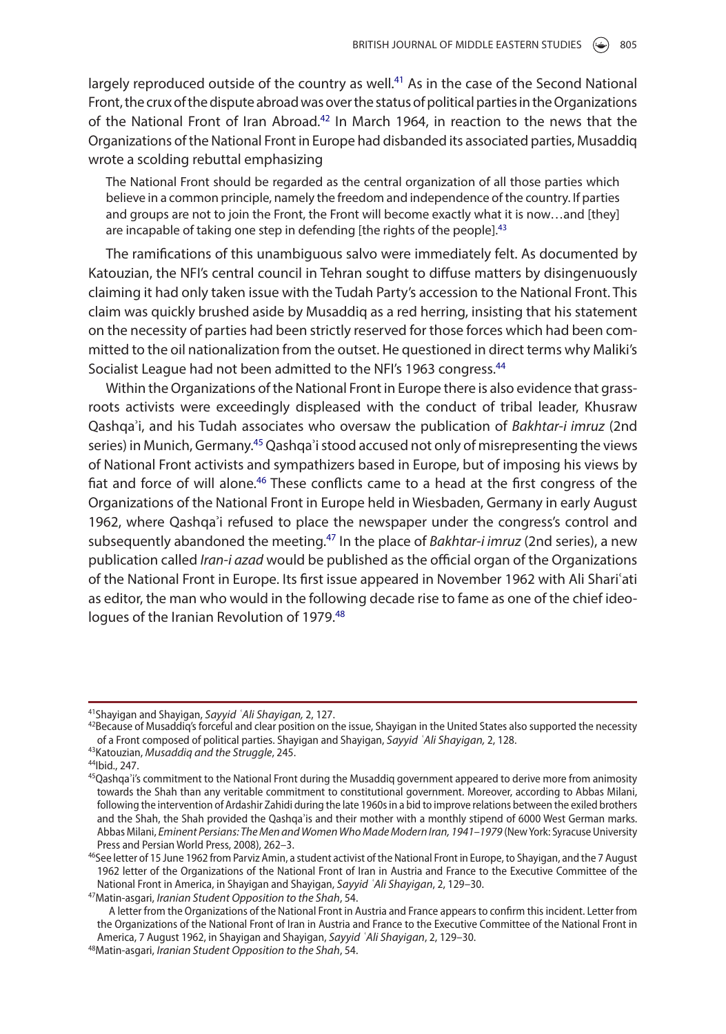largely reproduced outside of the country as well.<sup>41</sup> As in the case of the Second National Front, the crux of the dispute abroad was over the status of political parties in the Organizations of the National Front of Iran Abroad.<sup>[42](#page-10-1)</sup> In March 1964, in reaction to the news that the Organizations of the National Front in Europe had disbanded its associated parties, Musaddiq wrote a scolding rebuttal emphasizing

The National Front should be regarded as the central organization of all those parties which believe in a common principle, namely the freedom and independence of the country. If parties and groups are not to join the Front, the Front will become exactly what it is now…and [they] are incapable of taking one step in defending [the rights of the people].<sup>[43](#page-10-2)</sup>

The ramifications of this unambiguous salvo were immediately felt. As documented by Katouzian, the NFI's central council in Tehran sought to diffuse matters by disingenuously claiming it had only taken issue with the Tudah Party's accession to the National Front. This claim was quickly brushed aside by Musaddiq as a red herring, insisting that his statement on the necessity of parties had been strictly reserved for those forces which had been committed to the oil nationalization from the outset. He questioned in direct terms why Maliki's Socialist League had not been admitted to the NFI's 1963 congress[.44](#page-10-3)

Within the Organizations of the National Front in Europe there is also evidence that grassroots activists were exceedingly displeased with the conduct of tribal leader, Khusraw Qashqaʾi, and his Tudah associates who oversaw the publication of *Bakhtar*-*i imruz* (2nd series) in Munich, Germany[.45](#page-10-4) Qashqaʾi stood accused not only of misrepresenting the views of National Front activists and sympathizers based in Europe, but of imposing his views by fiat and force of will alone.<sup>46</sup> These conflicts came to a head at the first congress of the Organizations of the National Front in Europe held in Wiesbaden, Germany in early August 1962, where Qashqaʾi refused to place the newspaper under the congress's control and subsequently abandoned the meeting.[47](#page-10-6) In the place of *Bakhtar*-*i imruz* (2nd series), a new publication called *Iran*-*i azad* would be published as the official organ of the Organizations of the National Front in Europe. Its first issue appeared in November 1962 with Ali Shariʿati as editor, the man who would in the following decade rise to fame as one of the chief ideo-logues of the Iranian Revolution of 1979.<sup>[48](#page-10-7)</sup>

<span id="page-10-6"></span>47Matin-asgari, *Iranian Student Opposition to the Shah*, 54.

<span id="page-10-1"></span>

<span id="page-10-0"></span><sup>&</sup>lt;sup>41</sup>Shayigan and Shayigan, *Sayyid ʿAli Shayigan, 2*, 127.<br><sup>42</sup>Because of Musaddiq's forceful and clear position on the issue, Shayigan in the United States also supported the necessity of a Front composed of political parties. Shayigan and Shayigan, *Sayyid ʿAli Shayigan,* 2, 128. 43Katouzian, *Musaddiq and the Struggle*, 245.

<span id="page-10-2"></span>

<span id="page-10-3"></span><sup>44</sup>Ibid., 247.

<span id="page-10-4"></span><sup>&</sup>lt;sup>45</sup>Qashqa'i's commitment to the National Front during the Musaddig government appeared to derive more from animosity towards the Shah than any veritable commitment to constitutional government. Moreover, according to Abbas Milani, following the intervention of Ardashir Zahidi during the late 1960s in a bid to improve relations between the exiled brothers and the Shah, the Shah provided the Qashqaʾis and their mother with a monthly stipend of 6000 West German marks. Abbas Milani, *Eminent Persians: The Men and Women Who Made Modern Iran, 1941*–*1979* (New York: Syracuse University Press and Persian World Press, 2008), 262–3.

<span id="page-10-5"></span><sup>&</sup>lt;sup>46</sup>See letter of 15 June 1962 from Parviz Amin, a student activist of the National Front in Europe, to Shayigan, and the 7 August 1962 letter of the Organizations of the National Front of Iran in Austria and France to the Executive Committee of the National Front in America, in Shayigan and Shayigan, *Sayyid ʿAli Shayigan*, 2, 129–30.

A letter from the Organizations of the National Front in Austria and France appears to confirm this incident. Letter from the Organizations of the National Front of Iran in Austria and France to the Executive Committee of the National Front in America, 7 August 1962, in Shayigan and Shayigan, *Sayyid ʿAli Shayigan*, 2, 129–30.

<span id="page-10-7"></span><sup>48</sup>Matin-asgari, *Iranian Student Opposition to the Shah*, 54.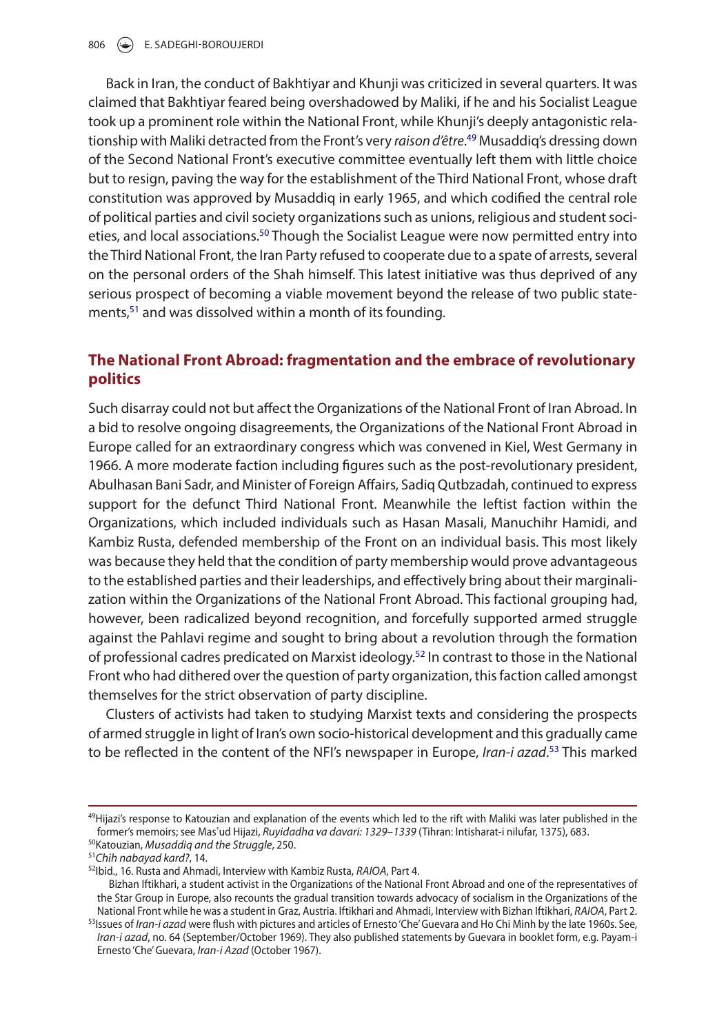Back in Iran, the conduct of Bakhtiyar and Khunji was criticized in several quarters. It was claimed that Bakhtiyar feared being overshadowed by Maliki, if he and his Socialist League took up a prominent role within the National Front, while Khunji's deeply antagonistic relationship with Maliki detracted from the Front's very *raison d'être*. [49](#page-11-0) Musaddiq's dressing down of the Second National Front's executive committee eventually left them with little choice but to resign, paving the way for the establishment of the Third National Front, whose draft constitution was approved by Musaddiq in early 1965, and which codified the central role of political parties and civil society organizations such as unions, religious and student societies, and local associations.<sup>50</sup> Though the Socialist League were now permitted entry into the Third National Front, the Iran Party refused to cooperate due to a spate of arrests, several on the personal orders of the Shah himself. This latest initiative was thus deprived of any serious prospect of becoming a viable movement beyond the release of two public statements,<sup>51</sup> and was dissolved within a month of its founding.

## **The National Front Abroad: fragmentation and the embrace of revolutionary politics**

Such disarray could not but affect the Organizations of the National Front of Iran Abroad. In a bid to resolve ongoing disagreements, the Organizations of the National Front Abroad in Europe called for an extraordinary congress which was convened in Kiel, West Germany in 1966. A more moderate faction including figures such as the post-revolutionary president, Abulhasan Bani Sadr, and Minister of Foreign Affairs, Sadiq Qutbzadah, continued to express support for the defunct Third National Front. Meanwhile the leftist faction within the Organizations, which included individuals such as Hasan Masali, Manuchihr Hamidi, and Kambiz Rusta, defended membership of the Front on an individual basis. This most likely was because they held that the condition of party membership would prove advantageous to the established parties and their leaderships, and effectively bring about their marginalization within the Organizations of the National Front Abroad. This factional grouping had, however, been radicalized beyond recognition, and forcefully supported armed struggle against the Pahlavi regime and sought to bring about a revolution through the formation of professional cadres predicated on Marxist ideology[.52](#page-11-3) In contrast to those in the National Front who had dithered over the question of party organization, this faction called amongst themselves for the strict observation of party discipline.

Clusters of activists had taken to studying Marxist texts and considering the prospects of armed struggle in light of Iran's own socio-historical development and this gradually came to be reflected in the content of the NFI's newspaper in Europe, *Iran*-*i azad*. [53](#page-11-4) This marked

<span id="page-11-0"></span><sup>&</sup>lt;sup>49</sup>Hijazi's response to Katouzian and explanation of the events which led to the rift with Maliki was later published in the former's memoirs; see Masʿud Hijazi, *Ruyidadha va davari: 1329*–*1339* (Tihran: Intisharat-i nilufar, 1375), 683.

<span id="page-11-1"></span><sup>50</sup>Katouzian, *Musaddiq and the Struggle*, 250.

<span id="page-11-2"></span><sup>51</sup>*Chih nabayad kard?*, 14.

<span id="page-11-3"></span><sup>52</sup>Ibid., 16. Rusta and Ahmadi, Interview with Kambiz Rusta, *RAIOA*, Part 4.

Bizhan Iftikhari, a student activist in the Organizations of the National Front Abroad and one of the representatives of the Star Group in Europe, also recounts the gradual transition towards advocacy of socialism in the Organizations of the National Front while he was a student in Graz, Austria. Iftikhari and Ahmadi, Interview with Bizhan Iftikhari, *RAIOA*, Part 2.

<span id="page-11-4"></span><sup>53</sup>Issues of *Iran*-*i azad* were flush with pictures and articles of Ernesto 'Che' Guevara and Ho Chi Minh by the late 1960s. See, *Iran*-*i azad*, no. 64 (September/October 1969). They also published statements by Guevara in booklet form, e.g. Payam-i Ernesto 'Che' Guevara, *Iran*-*i Azad* (October 1967).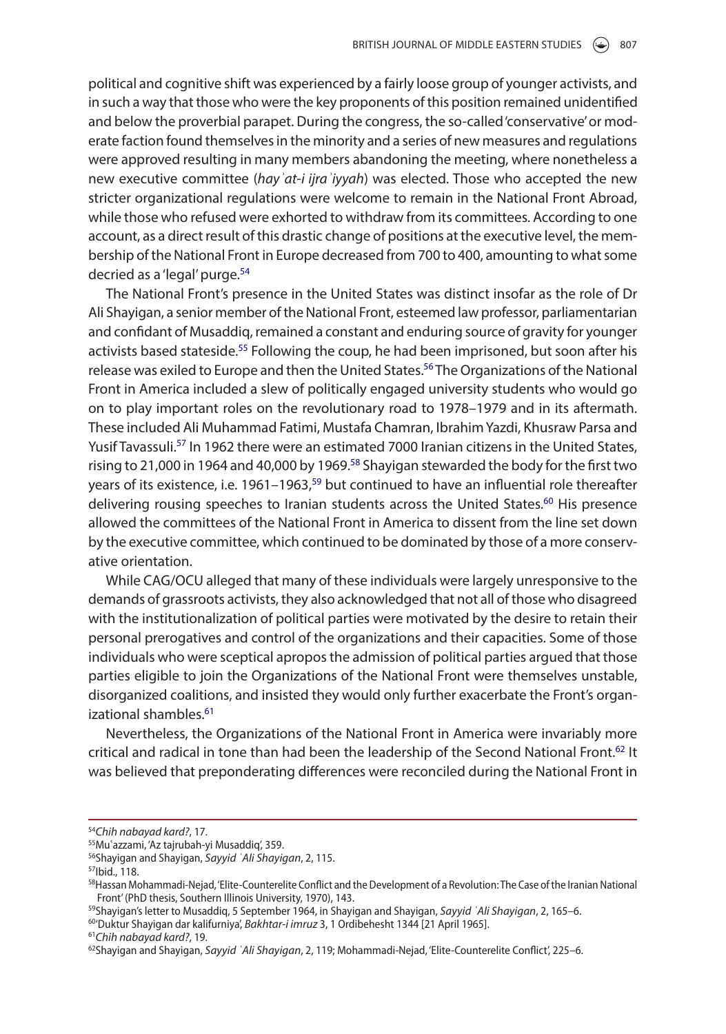political and cognitive shift was experienced by a fairly loose group of younger activists, and in such a way that those who were the key proponents of this position remained unidentified and below the proverbial parapet. During the congress, the so-called 'conservative' or moderate faction found themselves in the minority and a series of new measures and regulations were approved resulting in many members abandoning the meeting, where nonetheless a new executive committee (*hayʾat*-*i ijraʾiyyah*) was elected. Those who accepted the new stricter organizational regulations were welcome to remain in the National Front Abroad, while those who refused were exhorted to withdraw from its committees. According to one account, as a direct result of this drastic change of positions at the executive level, the membership of the National Front in Europe decreased from 700 to 400, amounting to what some decried as a 'legal' purge.<sup>54</sup>

The National Front's presence in the United States was distinct insofar as the role of Dr Ali Shayigan, a senior member of the National Front, esteemed law professor, parliamentarian and confidant of Musaddiq, remained a constant and enduring source of gravity for younger activists based stateside.[55](#page-12-1) Following the coup, he had been imprisoned, but soon after his release was exiled to Europe and then the United States.<sup>56</sup> The Organizations of the National Front in America included a slew of politically engaged university students who would go on to play important roles on the revolutionary road to 1978–1979 and in its aftermath. These included Ali Muhammad Fatimi, Mustafa Chamran, Ibrahim Yazdi, Khusraw Parsa and Yusif Tavassuli.<sup>57</sup> In 1962 there were an estimated 7000 Iranian citizens in the United States, rising to 21,000 in 1964 and 40,000 by 1969[.58](#page-12-4) Shayigan stewarded the body for the first two years of its existence, i.e. 1961–1963,<sup>59</sup> but continued to have an influential role thereafter delivering rousing speeches to Iranian students across the United States.<sup>[60](#page-12-6)</sup> His presence allowed the committees of the National Front in America to dissent from the line set down by the executive committee, which continued to be dominated by those of a more conservative orientation.

While CAG/OCU alleged that many of these individuals were largely unresponsive to the demands of grassroots activists, they also acknowledged that not all of those who disagreed with the institutionalization of political parties were motivated by the desire to retain their personal prerogatives and control of the organizations and their capacities. Some of those individuals who were sceptical apropos the admission of political parties argued that those parties eligible to join the Organizations of the National Front were themselves unstable, disorganized coalitions, and insisted they would only further exacerbate the Front's organizational shambles<sup>61</sup>

Nevertheless, the Organizations of the National Front in America were invariably more critical and radical in tone than had been the leadership of the Second National Front.<sup>62</sup> It was believed that preponderating differences were reconciled during the National Front in

<span id="page-12-5"></span>59Shayigan's letter to Musaddiq, 5 September 1964, in Shayigan and Shayigan, *Sayyid ʿAli Shayigan*, 2, 165–6.

<span id="page-12-6"></span>60'Duktur Shayigan dar kalifurniya', *Bakhtar*-*i imruz* 3, 1 Ordibehesht 1344 [21 April 1965].

<span id="page-12-7"></span><sup>61</sup>*Chih nabayad kard?*, 19.

<span id="page-12-0"></span><sup>54</sup>*Chih nabayad kard?*, 17.

<span id="page-12-1"></span><sup>55</sup>Muʿazzami, 'Az tajrubah-yi Musaddiq', 359.

<span id="page-12-2"></span><sup>56</sup>Shayigan and Shayigan, *Sayyid ʿAli Shayigan*, 2, 115.

<span id="page-12-3"></span><sup>57</sup>Ibid., 118.

<span id="page-12-4"></span><sup>58</sup>Hassan Mohammadi-Nejad, 'Elite-Counterelite Conflict and the Development of a Revolution: The Case of the Iranian National Front' (PhD thesis, Southern Illinois University, 1970), 143.

<span id="page-12-8"></span><sup>62</sup>Shayigan and Shayigan, *Sayyid ʿAli Shayigan*, 2, 119; Mohammadi-Nejad, 'Elite-Counterelite Conflict', 225–6.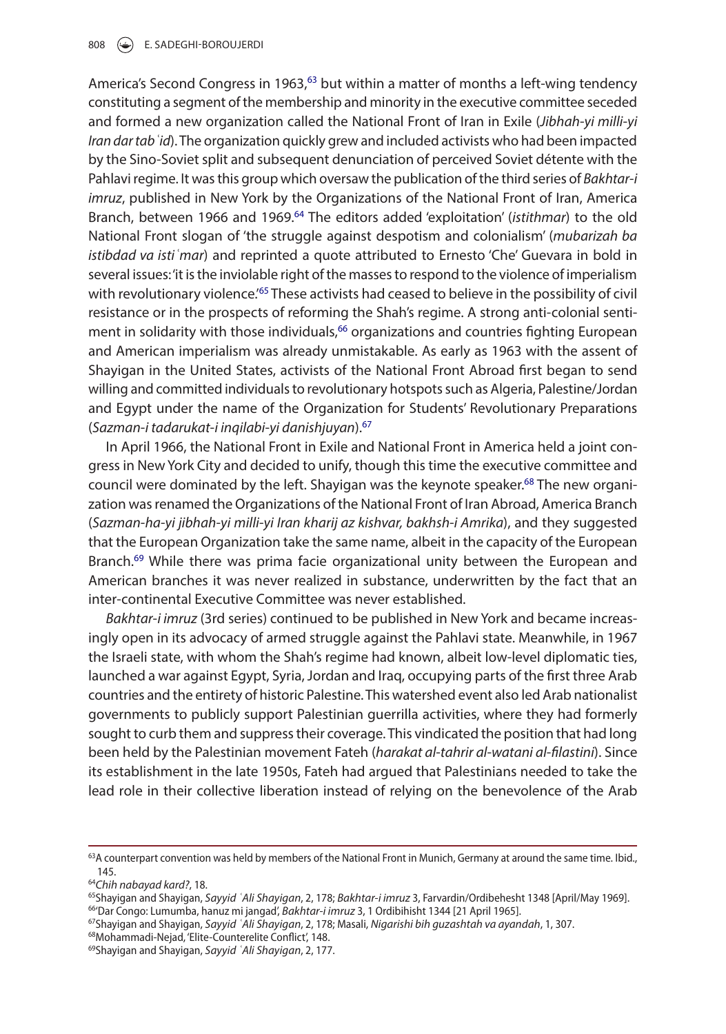America's Second Congress in 1963,<sup>63</sup> but within a matter of months a left-wing tendency constituting a segment of the membership and minority in the executive committee seceded and formed a new organization called the National Front of Iran in Exile (*Jibhah*-*yi milli*-*yi Iran dar tabʿid*). The organization quickly grew and included activists who had been impacted by the Sino-Soviet split and subsequent denunciation of perceived Soviet détente with the Pahlavi regime. It was this group which oversaw the publication of the third series of *Bakhtar*-*i imruz*, published in New York by the Organizations of the National Front of Iran, America Branch, between 1966 and 1969[.64](#page-13-1) The editors added 'exploitation' (*istithmar*) to the old National Front slogan of 'the struggle against despotism and colonialism' (*mubarizah ba istibdad va istiʿmar*) and reprinted a quote attributed to Ernesto 'Che' Guevara in bold in several issues: 'it is the inviolable right of the masses to respond to the violence of imperialism with revolutionary violence.<sup>'65</sup> These activists had ceased to believe in the possibility of civil resistance or in the prospects of reforming the Shah's regime. A strong anti-colonial senti-ment in solidarity with those individuals,<sup>[66](#page-13-3)</sup> organizations and countries fighting European and American imperialism was already unmistakable. As early as 1963 with the assent of Shayigan in the United States, activists of the National Front Abroad first began to send willing and committed individuals to revolutionary hotspots such as Algeria, Palestine/Jordan and Egypt under the name of the Organization for Students' Revolutionary Preparations (*Sazman*-*i tadarukat*-*i inqilabi*-*yi danishjuyan*)[.67](#page-13-4)

In April 1966, the National Front in Exile and National Front in America held a joint congress in New York City and decided to unify, though this time the executive committee and council were dominated by the left. Shayigan was the keynote speaker.<sup>68</sup> The new organization was renamed the Organizations of the National Front of Iran Abroad, America Branch (*Sazman*-*ha*-*yi jibhah*-*yi milli*-*yi Iran kharij az kishvar, bakhsh*-*i Amrika*), and they suggested that the European Organization take the same name, albeit in the capacity of the European Branch.<sup>69</sup> While there was prima facie organizational unity between the European and American branches it was never realized in substance, underwritten by the fact that an inter-continental Executive Committee was never established.

*Bakhtar*-*i imruz* (3rd series) continued to be published in New York and became increasingly open in its advocacy of armed struggle against the Pahlavi state. Meanwhile, in 1967 the Israeli state, with whom the Shah's regime had known, albeit low-level diplomatic ties, launched a war against Egypt, Syria, Jordan and Iraq, occupying parts of the first three Arab countries and the entirety of historic Palestine. This watershed event also led Arab nationalist governments to publicly support Palestinian guerrilla activities, where they had formerly sought to curb them and suppress their coverage. This vindicated the position that had long been held by the Palestinian movement Fateh (*harakat al*-*tahrir al*-*watani al*-*filastini*). Since its establishment in the late 1950s, Fateh had argued that Palestinians needed to take the lead role in their collective liberation instead of relying on the benevolence of the Arab

<span id="page-13-0"></span> $63A$  counterpart convention was held by members of the National Front in Munich, Germany at around the same time. Ibid., 145.

<span id="page-13-1"></span><sup>64</sup>*Chih nabayad kard?*, 18.

<span id="page-13-3"></span><span id="page-13-2"></span><sup>65</sup>Shayigan and Shayigan, *Sayyid ʿAli Shayigan*, 2, 178; *Bakhtar*-*i imruz* 3, Farvardin/Ordibehesht 1348 [April/May 1969]. 66'Dar Congo: Lumumba, hanuz mi jangad', *Bakhtar*-*i imruz* 3, 1 Ordibihisht 1344 [21 April 1965].

<span id="page-13-4"></span><sup>67</sup>Shayigan and Shayigan, *Sayyid ʿAli Shayigan*, 2, 178; Masali, *Nigarishi bih guzashtah va ayandah*, 1, 307.

<span id="page-13-5"></span><sup>68</sup>Mohammadi-Nejad, 'Elite-Counterelite Conflict', 148.

<span id="page-13-6"></span><sup>69</sup>Shayigan and Shayigan, *Sayyid ʿAli Shayigan*, 2, 177.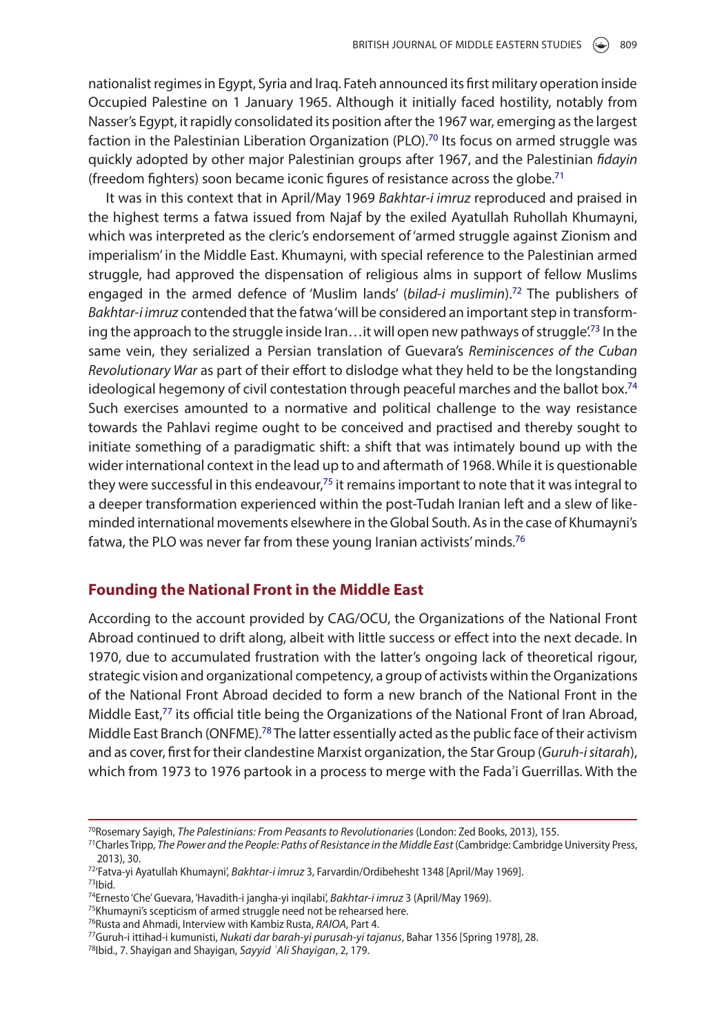nationalist regimes in Egypt, Syria and Iraq. Fateh announced its first military operation inside Occupied Palestine on 1 January 1965. Although it initially faced hostility, notably from Nasser's Egypt, it rapidly consolidated its position after the 1967 war, emerging as the largest faction in the Palestinian Liberation Organization (PLO).<sup>70</sup> Its focus on armed struggle was quickly adopted by other major Palestinian groups after 1967, and the Palestinian *fidayin* (freedom fighters) soon became iconic figures of resistance across the globe.<sup>71</sup>

It was in this context that in April/May 1969 *Bakhtar*-*i imruz* reproduced and praised in the highest terms a fatwa issued from Najaf by the exiled Ayatullah Ruhollah Khumayni, which was interpreted as the cleric's endorsement of 'armed struggle against Zionism and imperialism' in the Middle East. Khumayni, with special reference to the Palestinian armed struggle, had approved the dispensation of religious alms in support of fellow Muslims engaged in the armed defence of 'Muslim lands' (*bilad*-*i muslimin*)[.72](#page-14-2) The publishers of *Bakhtar*-*i imruz* contended that the fatwa 'will be considered an important step in transforming the approach to the struggle inside Iran... it will open new pathways of struggle $\cdot$ <sup>73</sup> In the same vein, they serialized a Persian translation of Guevara's *Reminiscences of the Cuban Revolutionary War* as part of their effort to dislodge what they held to be the longstanding ideological hegemony of civil contestation through peaceful marches and the ballot box.<sup>[74](#page-14-4)</sup> Such exercises amounted to a normative and political challenge to the way resistance towards the Pahlavi regime ought to be conceived and practised and thereby sought to initiate something of a paradigmatic shift: a shift that was intimately bound up with the wider international context in the lead up to and aftermath of 1968. While it is questionable they were successful in this endeavour,<sup>[75](#page-14-5)</sup> it remains important to note that it was integral to a deeper transformation experienced within the post-Tudah Iranian left and a slew of likeminded international movements elsewhere in the Global South. As in the case of Khumayni's fatwa, the PLO was never far from these young Iranian activists' minds.<sup>76</sup>

#### **Founding the National Front in the Middle East**

According to the account provided by CAG/OCU, the Organizations of the National Front Abroad continued to drift along, albeit with little success or effect into the next decade. In 1970, due to accumulated frustration with the latter's ongoing lack of theoretical rigour, strategic vision and organizational competency, a group of activists within the Organizations of the National Front Abroad decided to form a new branch of the National Front in the Middle East,<sup>77</sup> its official title being the Organizations of the National Front of Iran Abroad, Middle East Branch (ONFME).<sup>78</sup> The latter essentially acted as the public face of their activism and as cover, first for their clandestine Marxist organization, the Star Group (*Guruh*-*i sitarah*), which from 1973 to 1976 partook in a process to merge with the Fadaʾi Guerrillas. With the

<span id="page-14-0"></span><sup>70</sup>Rosemary Sayigh, *The Palestinians: From Peasants to Revolutionaries* (London: Zed Books, 2013), 155.

<span id="page-14-1"></span><sup>71</sup>Charles Tripp, *The Power and the People: Paths of Resistance in the Middle East* (Cambridge: Cambridge University Press, 2013), 30.

<span id="page-14-3"></span><span id="page-14-2"></span><sup>72&#</sup>x27;Fatva-yi Ayatullah Khumayni', *Bakhtar*-*i imruz* 3, Farvardin/Ordibehesht 1348 [April/May 1969]. 73Ibid.

<span id="page-14-4"></span><sup>74</sup>Ernesto 'Che' Guevara, 'Havadith-i jangha-yi inqilabi', *Bakhtar*-*i imruz* 3 (April/May 1969).

<span id="page-14-5"></span><sup>&</sup>lt;sup>75</sup>Khumayni's scepticism of armed struggle need not be rehearsed here.

<span id="page-14-6"></span><sup>76</sup>Rusta and Ahmadi, Interview with Kambiz Rusta, *RAIOA*, Part 4.

<span id="page-14-7"></span><sup>77</sup>Guruh-i ittihad-i kumunisti, *Nukati dar barah*-*yi purusah*-*yi tajanus*, Bahar 1356 [Spring 1978], 28.

<span id="page-14-8"></span><sup>78</sup>Ibid., 7. Shayigan and Shayigan, *Sayyid ʿAli Shayigan*, 2, 179.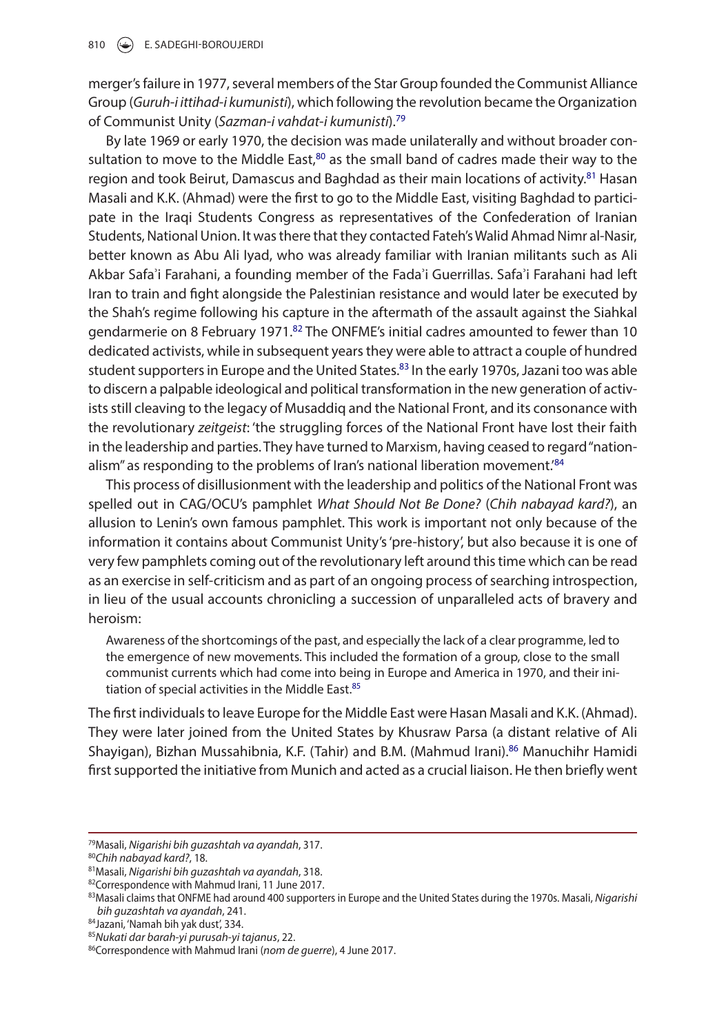merger's failure in 1977, several members of the Star Group founded the Communist Alliance Group (*Guruh*-*i ittihad*-*i kumunisti*), which following the revolution became the Organization of Communist Unity (*Sazman*-*i vahdat*-*i kumunisti*)[.79](#page-15-0)

By late 1969 or early 1970, the decision was made unilaterally and without broader consultation to move to the Middle East, $80$  as the small band of cadres made their way to the region and took Beirut, Damascus and Baghdad as their main locations of activity.<sup>[81](#page-15-2)</sup> Hasan Masali and K.K. (Ahmad) were the first to go to the Middle East, visiting Baghdad to participate in the Iraqi Students Congress as representatives of the Confederation of Iranian Students, National Union. It was there that they contacted Fateh's Walid Ahmad Nimr al-Nasir, better known as Abu Ali Iyad, who was already familiar with Iranian militants such as Ali Akbar Safaʾi Farahani, a founding member of the Fadaʾi Guerrillas. Safaʾi Farahani had left Iran to train and fight alongside the Palestinian resistance and would later be executed by the Shah's regime following his capture in the aftermath of the assault against the Siahkal gendarmerie on 8 February 1971.<sup>82</sup> The ONFME's initial cadres amounted to fewer than 10 dedicated activists, while in subsequent years they were able to attract a couple of hundred student supporters in Europe and the United States.<sup>83</sup> In the early 1970s, Jazani too was able to discern a palpable ideological and political transformation in the new generation of activists still cleaving to the legacy of Musaddiq and the National Front, and its consonance with the revolutionary *zeitgeist*: 'the struggling forces of the National Front have lost their faith in the leadership and parties. They have turned to Marxism, having ceased to regard "nationalism" as responding to the problems of Iran's national liberation movement.'[84](#page-15-5)

This process of disillusionment with the leadership and politics of the National Front was spelled out in CAG/OCU's pamphlet *What Should Not Be Done?* (*Chih nabayad kard?*), an allusion to Lenin's own famous pamphlet. This work is important not only because of the information it contains about Communist Unity's 'pre-history', but also because it is one of very few pamphlets coming out of the revolutionary left around this time which can be read as an exercise in self-criticism and as part of an ongoing process of searching introspection, in lieu of the usual accounts chronicling a succession of unparalleled acts of bravery and heroism:

Awareness of the shortcomings of the past, and especially the lack of a clear programme, led to the emergence of new movements. This included the formation of a group, close to the small communist currents which had come into being in Europe and America in 1970, and their initiation of special activities in the Middle East.<sup>85</sup>

The first individuals to leave Europe for the Middle East were Hasan Masali and K.K. (Ahmad). They were later joined from the United States by Khusraw Parsa (a distant relative of Ali Shayigan), Bizhan Mussahibnia, K.F. (Tahir) and B.M. (Mahmud Irani).[86](#page-15-7) Manuchihr Hamidi first supported the initiative from Munich and acted as a crucial liaison. He then briefly went

<span id="page-15-0"></span><sup>79</sup>Masali, *Nigarishi bih guzashtah va ayandah*, 317.

<span id="page-15-1"></span><sup>80</sup>*Chih nabayad kard?*, 18.

<span id="page-15-2"></span><sup>81</sup>Masali, *Nigarishi bih guzashtah va ayandah*, 318.

<span id="page-15-3"></span><sup>82</sup>Correspondence with Mahmud Irani, 11 June 2017.

<span id="page-15-4"></span><sup>83</sup>Masali claims that ONFME had around 400 supporters in Europe and the United States during the 1970s. Masali, *Nigarishi bih guzashtah va ayandah*, 241.

<span id="page-15-5"></span><sup>84</sup>Jazani, 'Namah bih yak dust', 334.

<span id="page-15-6"></span><sup>85</sup>*Nukati dar barah*-*yi purusah*-*yi tajanus*, 22.

<span id="page-15-7"></span><sup>86</sup>Correspondence with Mahmud Irani (*nom de guerre*), 4 June 2017.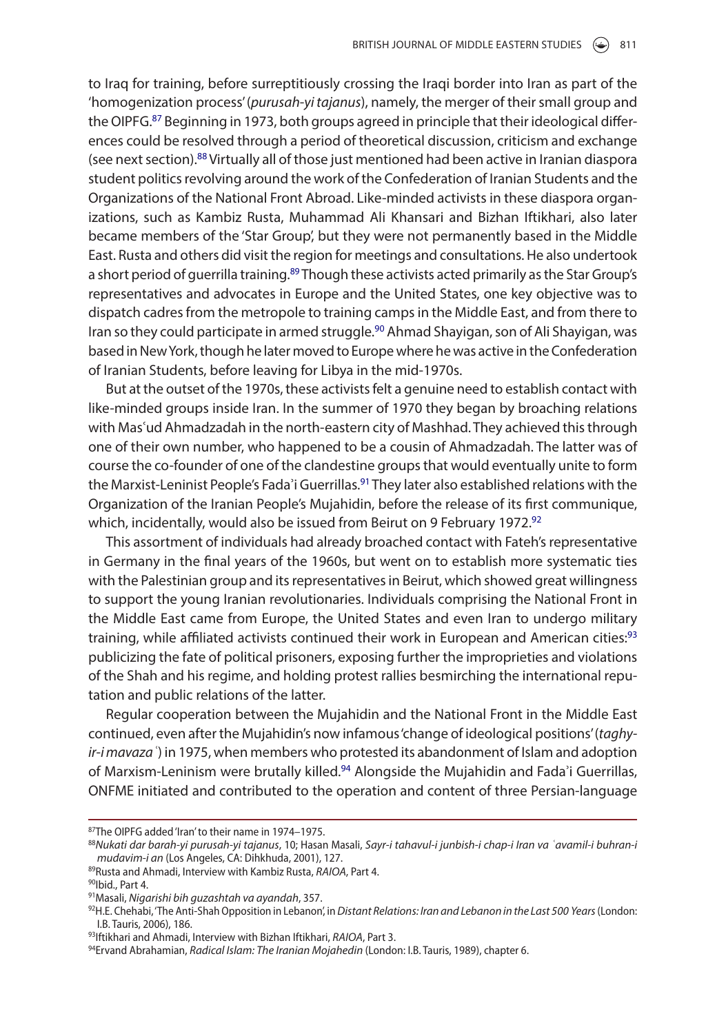to Iraq for training, before surreptitiously crossing the Iraqi border into Iran as part of the 'homogenization process' (*purusah*-*yi tajanus*), namely, the merger of their small group and the OIPFG.<sup>87</sup> Beginning in 1973, both groups agreed in principle that their ideological differences could be resolved through a period of theoretical discussion, criticism and exchange (see next section)[.88](#page-16-1) Virtually all of those just mentioned had been active in Iranian diaspora student politics revolving around the work of the Confederation of Iranian Students and the Organizations of the National Front Abroad. Like-minded activists in these diaspora organizations, such as Kambiz Rusta, Muhammad Ali Khansari and Bizhan Iftikhari, also later became members of the 'Star Group', but they were not permanently based in the Middle East. Rusta and others did visit the region for meetings and consultations. He also undertook a short period of querrilla training.<sup>89</sup> Though these activists acted primarily as the Star Group's representatives and advocates in Europe and the United States, one key objective was to dispatch cadres from the metropole to training camps in the Middle East, and from there to Iran so they could participate in armed struggle.<sup>[90](#page-16-3)</sup> Ahmad Shayigan, son of Ali Shayigan, was based in New York, though he later moved to Europe where he was active in the Confederation of Iranian Students, before leaving for Libya in the mid-1970s.

But at the outset of the 1970s, these activists felt a genuine need to establish contact with like-minded groups inside Iran. In the summer of 1970 they began by broaching relations with Masʿud Ahmadzadah in the north-eastern city of Mashhad. They achieved this through one of their own number, who happened to be a cousin of Ahmadzadah. The latter was of course the co-founder of one of the clandestine groups that would eventually unite to form the Marxist-Leninist People's Fada'i Guerrillas.<sup>91</sup> They later also established relations with the Organization of the Iranian People's Mujahidin, before the release of its first communique, which, incidentally, would also be issued from Beirut on 9 February 1972.<sup>92</sup>

This assortment of individuals had already broached contact with Fateh's representative in Germany in the final years of the 1960s, but went on to establish more systematic ties with the Palestinian group and its representatives in Beirut, which showed great willingness to support the young Iranian revolutionaries. Individuals comprising the National Front in the Middle East came from Europe, the United States and even Iran to undergo military training, while affiliated activists continued their work in European and American cities:<sup>[93](#page-16-6)</sup> publicizing the fate of political prisoners, exposing further the improprieties and violations of the Shah and his regime, and holding protest rallies besmirching the international reputation and public relations of the latter.

Regular cooperation between the Mujahidin and the National Front in the Middle East continued, even after the Mujahidin's now infamous 'change of ideological positions' (*taghyir*-*i mavazaʿ*) in 1975, when members who protested its abandonment of Islam and adoption of Marxism-Leninism were brutally killed.<sup>[94](#page-16-7)</sup> Alongside the Mujahidin and Fada'i Guerrillas, ONFME initiated and contributed to the operation and content of three Persian-language

<span id="page-16-6"></span>93Iftikhari and Ahmadi, Interview with Bizhan Iftikhari, *RAIOA*, Part 3.

<span id="page-16-0"></span><sup>87</sup>The OIPFG added 'Iran' to their name in 1974–1975.

<span id="page-16-1"></span><sup>88</sup>*Nukati dar barah*-*yi purusah*-*yi tajanus*, 10; Hasan Masali, *Sayr*-*i tahavul*-*i junbish*-*i chap*-*i Iran va ʿavamil*-*i buhran*-*i mudavim*-*i an* (Los Angeles, CA: Dihkhuda, 2001), 127.

<span id="page-16-2"></span><sup>89</sup>Rusta and Ahmadi, Interview with Kambiz Rusta, *RAIOA*, Part 4.

<span id="page-16-3"></span><sup>90</sup>Ibid., Part 4.

<span id="page-16-4"></span><sup>91</sup>Masali, *Nigarishi bih guzashtah va ayandah*, 357.

<span id="page-16-5"></span><sup>92</sup>H.E. Chehabi, 'The Anti-Shah Opposition in Lebanon', in *Distant Relations: Iran and Lebanon in the Last 500 Years* (London: I.B. Tauris, 2006), 186.

<span id="page-16-7"></span><sup>94</sup>Ervand Abrahamian, *Radical Islam: The Iranian Mojahedin* (London: I.B. Tauris, 1989), chapter 6.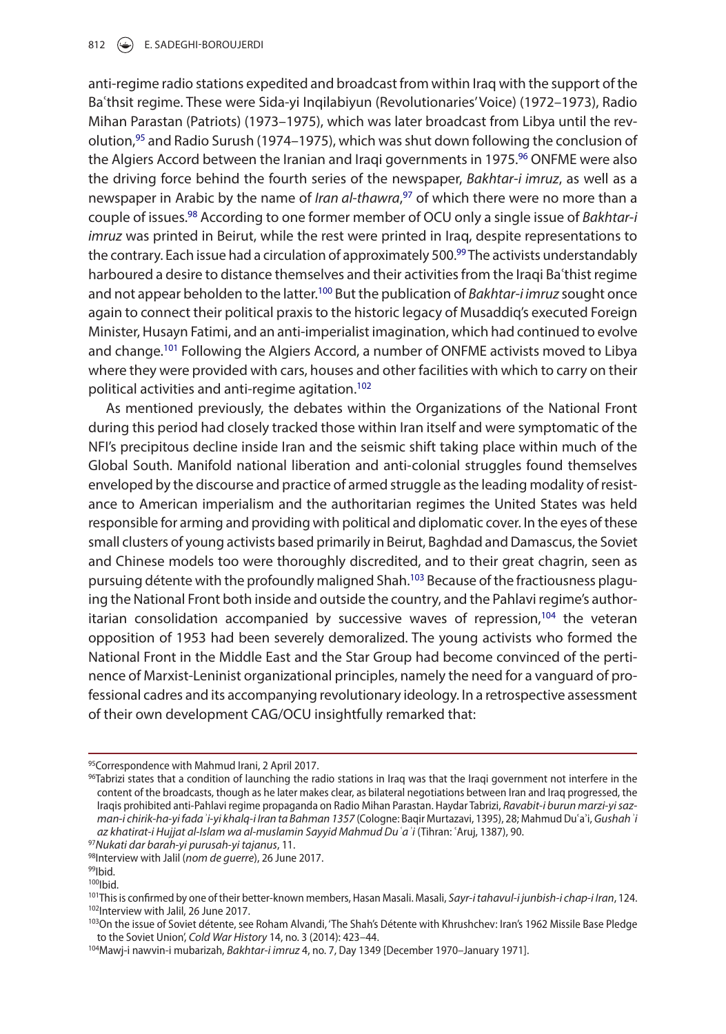anti-regime radio stations expedited and broadcast from within Iraq with the support of the Baʿthsit regime. These were Sida-yi Inqilabiyun (Revolutionaries' Voice) (1972–1973), Radio Mihan Parastan (Patriots) (1973–1975), which was later broadcast from Libya until the revolution,<sup>95</sup> and Radio Surush (1974–1975), which was shut down following the conclusion of the Algiers Accord between the Iranian and Iragi governments in 1975.<sup>96</sup> ONFME were also the driving force behind the fourth series of the newspaper, *Bakhtar*-*i imruz*, as well as a newspaper in Arabic by the name of *Iran al*-*thawra*, [97](#page-17-2) of which there were no more than a couple of issues.[98](#page-17-3) According to one former member of OCU only a single issue of *Bakhtar*-*i imruz* was printed in Beirut, while the rest were printed in Iraq, despite representations to the contrary. Each issue had a circulation of approximately 500.<sup>99</sup> The activists understandably harboured a desire to distance themselves and their activities from the Iraqi Baʿthist regime and not appear beholden to the latter[.100](#page-17-5) But the publication of *Bakhtar*-*i imruz* sought once again to connect their political praxis to the historic legacy of Musaddiq's executed Foreign Minister, Husayn Fatimi, and an anti-imperialist imagination, which had continued to evolve and change[.101](#page-17-6) Following the Algiers Accord, a number of ONFME activists moved to Libya where they were provided with cars, houses and other facilities with which to carry on their political activities and anti-regime agitation.[102](#page-17-7)

As mentioned previously, the debates within the Organizations of the National Front during this period had closely tracked those within Iran itself and were symptomatic of the NFI's precipitous decline inside Iran and the seismic shift taking place within much of the Global South. Manifold national liberation and anti-colonial struggles found themselves enveloped by the discourse and practice of armed struggle as the leading modality of resistance to American imperialism and the authoritarian regimes the United States was held responsible for arming and providing with political and diplomatic cover. In the eyes of these small clusters of young activists based primarily in Beirut, Baghdad and Damascus, the Soviet and Chinese models too were thoroughly discredited, and to their great chagrin, seen as pursuing détente with the profoundly maligned Shah.<sup>103</sup> Because of the fractiousness plaguing the National Front both inside and outside the country, and the Pahlavi regime's authoritarian consolidation accompanied by successive waves of repression,<sup>104</sup> the veteran opposition of 1953 had been severely demoralized. The young activists who formed the National Front in the Middle East and the Star Group had become convinced of the pertinence of Marxist-Leninist organizational principles, namely the need for a vanguard of professional cadres and its accompanying revolutionary ideology. In a retrospective assessment of their own development CAG/OCU insightfully remarked that:

<span id="page-17-0"></span><sup>95</sup>Correspondence with Mahmud Irani, 2 April 2017.

<span id="page-17-1"></span><sup>96</sup>Tabrizi states that a condition of launching the radio stations in Iraq was that the Iraqi government not interfere in the content of the broadcasts, though as he later makes clear, as bilateral negotiations between Iran and Iraq progressed, the Iraqis prohibited anti-Pahlavi regime propaganda on Radio Mihan Parastan. Haydar Tabrizi, *Ravabit*-*i burun marzi*-*yi sazman*-*i chirik*-*ha*-*yi fadaʾi*-*yi khalq*-*i Iran ta Bahman 1357* (Cologne: Baqir Murtazavi, 1395), 28; Mahmud Duʿaʾi, *Gushahʾi az khatirat*-*i Hujjat al*-*Islam wa al*-*muslamin Sayyid Mahmud Duʿaʾi* (Tihran: ʿAruj, 1387), 90.

<span id="page-17-2"></span><sup>97</sup>*Nukati dar barah*-*yi purusah*-*yi tajanus*, 11. 98Interview with Jalil (*nom de guerre*), 26 June 2017.

<span id="page-17-3"></span>

<span id="page-17-5"></span><span id="page-17-4"></span><sup>99</sup>Ibid.  $100$ Ibid.

<span id="page-17-7"></span><span id="page-17-6"></span><sup>101</sup>This is confirmed by one of their better-known members, Hasan Masali. Masali, *Sayr*-*i tahavul*-*i junbish*-*i chap*-*i Iran*, 124. <sup>102</sup>Interview with Jalil, 26 June 2017.

<span id="page-17-8"></span><sup>&</sup>lt;sup>103</sup>On the issue of Soviet détente, see Roham Alvandi, 'The Shah's Détente with Khrushchev: Iran's 1962 Missile Base Pledge to the Soviet Union', *Cold War History* 14, no. 3 (2014): 423–44.

<span id="page-17-9"></span><sup>104</sup>Mawj-i nawvin-i mubarizah, *Bakhtar*-*i imruz* 4, no. 7, Day 1349 [December 1970–January 1971].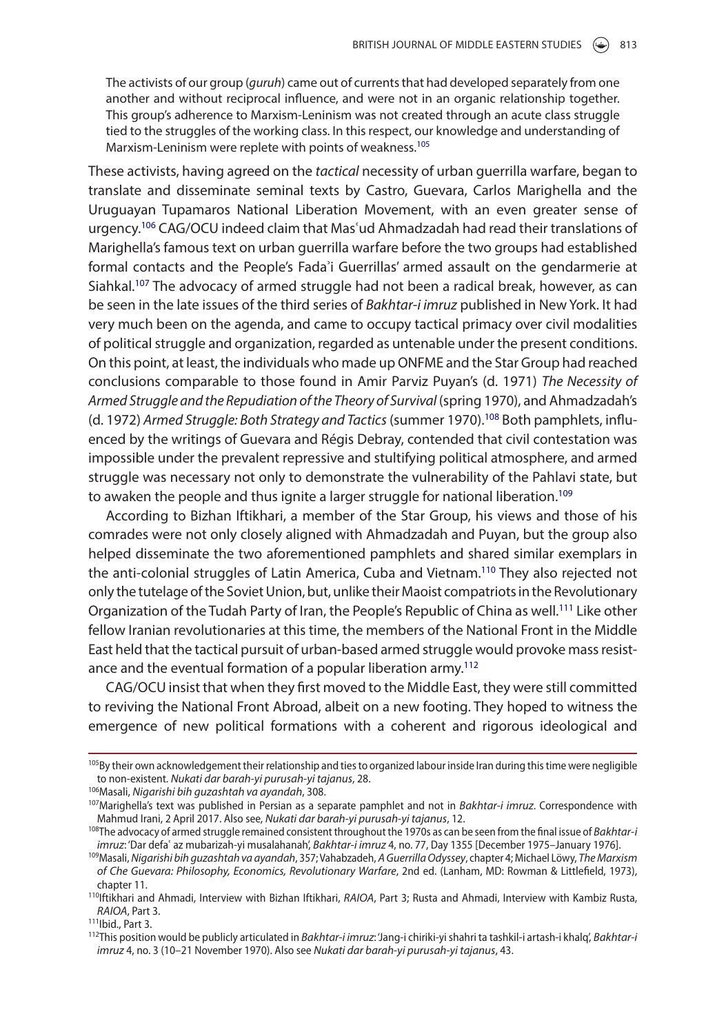The activists of our group (*guruh*) came out of currents that had developed separately from one another and without reciprocal influence, and were not in an organic relationship together. This group's adherence to Marxism-Leninism was not created through an acute class struggle tied to the struggles of the working class. In this respect, our knowledge and understanding of Marxism-Leninism were replete with points of weakness.<sup>105</sup>

These activists, having agreed on the *tactical* necessity of urban guerrilla warfare, began to translate and disseminate seminal texts by Castro, Guevara, Carlos Marighella and the Uruguayan Tupamaros National Liberation Movement, with an even greater sense of urgency.[106](#page-18-1) CAG/OCU indeed claim that Masʿud Ahmadzadah had read their translations of Marighella's famous text on urban guerrilla warfare before the two groups had established formal contacts and the People's Fadaʾi Guerrillas' armed assault on the gendarmerie at Siahkal.<sup>107</sup> The advocacy of armed struggle had not been a radical break, however, as can be seen in the late issues of the third series of *Bakhtar*-*i imruz* published in New York. It had very much been on the agenda, and came to occupy tactical primacy over civil modalities of political struggle and organization, regarded as untenable under the present conditions. On this point, at least, the individuals who made up ONFME and the Star Group had reached conclusions comparable to those found in Amir Parviz Puyan's (d. 1971) *The Necessity of Armed Struggle and the Repudiation of the Theory of Survival* (spring 1970), and Ahmadzadah's (d. 1972) *Armed Struggle: Both Strategy and Tactics* (summer 1970)[.108](#page-18-3) Both pamphlets, influenced by the writings of Guevara and Régis Debray, contended that civil contestation was impossible under the prevalent repressive and stultifying political atmosphere, and armed struggle was necessary not only to demonstrate the vulnerability of the Pahlavi state, but to awaken the people and thus ignite a larger struggle for national liberation.<sup>109</sup>

According to Bizhan Iftikhari, a member of the Star Group, his views and those of his comrades were not only closely aligned with Ahmadzadah and Puyan, but the group also helped disseminate the two aforementioned pamphlets and shared similar exemplars in the anti-colonial struggles of Latin America, Cuba and Vietnam.[110](#page-18-5) They also rejected not only the tutelage of the Soviet Union, but, unlike their Maoist compatriots in the Revolutionary Organization of the Tudah Party of Iran, the People's Republic of China as well.[111](#page-18-6) Like other fellow Iranian revolutionaries at this time, the members of the National Front in the Middle East held that the tactical pursuit of urban-based armed struggle would provoke mass resistance and the eventual formation of a popular liberation army.<sup>112</sup>

CAG/OCU insist that when they first moved to the Middle East, they were still committed to reviving the National Front Abroad, albeit on a new footing. They hoped to witness the emergence of new political formations with a coherent and rigorous ideological and

<span id="page-18-6"></span>111Ibid., Part 3.

<span id="page-18-0"></span><sup>&</sup>lt;sup>105</sup>By their own acknowledgement their relationship and ties to organized labour inside Iran during this time were negligible to non-existent. *Nukati dar barah*-*yi purusah*-*yi tajanus*, 28.

<span id="page-18-1"></span><sup>106</sup>Masali, *Nigarishi bih guzashtah va ayandah*, 308.

<span id="page-18-2"></span><sup>107</sup>Marighella's text was published in Persian as a separate pamphlet and not in *Bakhtar*-*i imruz*. Correspondence with Mahmud Irani, 2 April 2017. Also see, *Nukati dar barah*-*yi purusah*-*yi tajanus*, 12.

<span id="page-18-3"></span><sup>108</sup>The advocacy of armed struggle remained consistent throughout the 1970s as can be seen from the final issue of *Bakhtar*-*i imruz*: 'Dar defaʿ az mubarizah-yi musalahanah', *Bakhtar*-*i imruz* 4, no. 77, Day 1355 [December 1975–January 1976].

<span id="page-18-4"></span><sup>109</sup>Masali, *Nigarishi bih guzashtah va ayandah*, 357; Vahabzadeh, *A Guerrilla Odyssey*, chapter 4; Michael Löwy, *The Marxism of Che Guevara: Philosophy, Economics, Revolutionary Warfare*, 2nd ed. (Lanham, MD: Rowman & Littlefield, 1973), chapter 11.

<span id="page-18-5"></span><sup>110</sup>Iftikhari and Ahmadi, Interview with Bizhan Iftikhari, *RAIOA*, Part 3; Rusta and Ahmadi, Interview with Kambiz Rusta, *RAIOA*, Part 3.

<span id="page-18-7"></span><sup>112</sup>This position would be publicly articulated in *Bakhtar*-*i imruz*: 'Jang-i chiriki-yi shahri ta tashkil-i artash-i khalq', *Bakhtar*-*i imruz* 4, no. 3 (10–21 November 1970). Also see *Nukati dar barah*-*yi purusah*-*yi tajanus*, 43.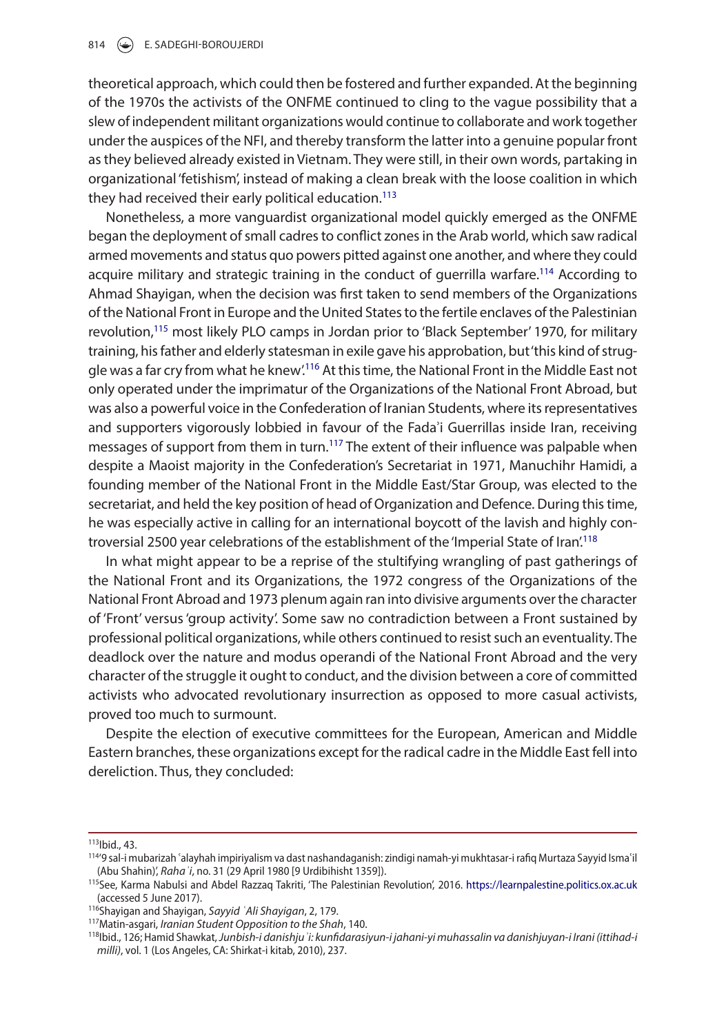theoretical approach, which could then be fostered and further expanded. At the beginning of the 1970s the activists of the ONFME continued to cling to the vague possibility that a slew of independent militant organizations would continue to collaborate and work together under the auspices of the NFI, and thereby transform the latter into a genuine popular front as they believed already existed in Vietnam. They were still, in their own words, partaking in organizational 'fetishism', instead of making a clean break with the loose coalition in which they had received their early political education.<sup>[113](#page-19-0)</sup>

Nonetheless, a more vanguardist organizational model quickly emerged as the ONFME began the deployment of small cadres to conflict zones in the Arab world, which saw radical armed movements and status quo powers pitted against one another, and where they could acquire military and strategic training in the conduct of guerrilla warfare.<sup>[114](#page-19-1)</sup> According to Ahmad Shayigan, when the decision was first taken to send members of the Organizations of the National Front in Europe and the United States to the fertile enclaves of the Palestinian revolution[,115](#page-19-2) most likely PLO camps in Jordan prior to 'Black September' 1970, for military training, his father and elderly statesman in exile gave his approbation, but 'this kind of struggle was a far cry from what he knew<sup>'116</sup> At this time, the National Front in the Middle East not only operated under the imprimatur of the Organizations of the National Front Abroad, but was also a powerful voice in the Confederation of Iranian Students, where its representatives and supporters vigorously lobbied in favour of the Fadaʾi Guerrillas inside Iran, receiving messages of support from them in turn.<sup>117</sup> The extent of their influence was palpable when despite a Maoist majority in the Confederation's Secretariat in 1971, Manuchihr Hamidi, a founding member of the National Front in the Middle East/Star Group, was elected to the secretariat, and held the key position of head of Organization and Defence. During this time, he was especially active in calling for an international boycott of the lavish and highly controversial 2500 year celebrations of the establishment of the 'Imperial State of Iran'[.118](#page-19-5)

In what might appear to be a reprise of the stultifying wrangling of past gatherings of the National Front and its Organizations, the 1972 congress of the Organizations of the National Front Abroad and 1973 plenum again ran into divisive arguments over the character of 'Front' versus 'group activity'. Some saw no contradiction between a Front sustained by professional political organizations, while others continued to resist such an eventuality. The deadlock over the nature and modus operandi of the National Front Abroad and the very character of the struggle it ought to conduct, and the division between a core of committed activists who advocated revolutionary insurrection as opposed to more casual activists, proved too much to surmount.

Despite the election of executive committees for the European, American and Middle Eastern branches, these organizations except for the radical cadre in the Middle East fell into dereliction. Thus, they concluded:

<span id="page-19-0"></span> $113$ Ibid. 43.

<span id="page-19-1"></span><sup>114&#</sup>x27;9 sal-i mubarizah ʿalayhah impiriyalism va dast nashandaganish: zindigi namah-yi mukhtasar-i rafiq Murtaza Sayyid Ismaʿil (Abu Shahin)', *Rahaʾi*, no. 31 (29 April 1980 [9 Urdibihisht 1359]).

<span id="page-19-2"></span><sup>115</sup>See, Karma Nabulsi and Abdel Razzaq Takriti, 'The Palestinian Revolution', 2016. <https://learnpalestine.politics.ox.ac.uk> (accessed 5 June 2017).

<span id="page-19-3"></span><sup>116</sup>Shayigan and Shayigan, *Sayyid ʿAli Shayigan*, 2, 179.

<span id="page-19-4"></span><sup>117</sup>Matin-asgari, *Iranian Student Opposition to the Shah*, 140.

<span id="page-19-5"></span><sup>118</sup>Ibid., 126; Hamid Shawkat, *Junbish*-*i danishjuʾi: kunfidarasiyun*-*i jahani*-*yi muhassalin va danishjuyan*-*i Irani (ittihad*-*i milli)*, vol. 1 (Los Angeles, CA: Shirkat-i kitab, 2010), 237.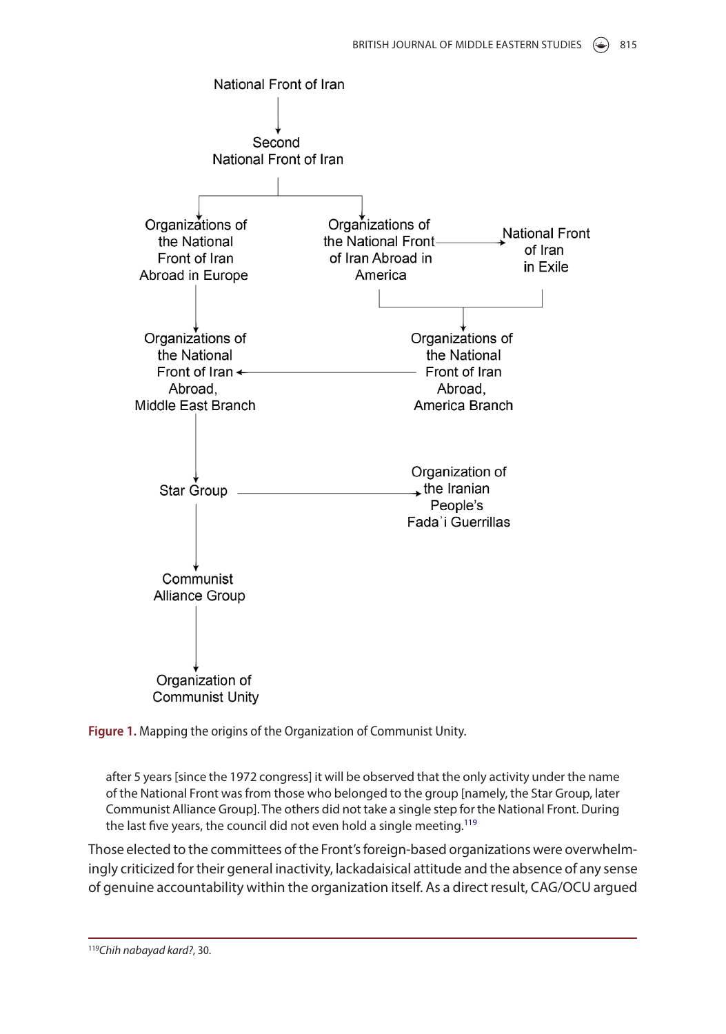



after 5 years [since the 1972 congress] it will be observed that the only activity under the name of the National Front was from those who belonged to the group [namely, the Star Group, later Communist Alliance Group]. The others did not take a single step for the National Front. During the last five years, the council did not even hold a single meeting.<sup>119</sup>

<span id="page-20-0"></span>Those elected to the committees of the Front's foreign-based organizations were overwhelmingly criticized for their general inactivity, lackadaisical attitude and the absence of any sense of genuine accountability within the organization itself. As a direct result, CAG/OCU argued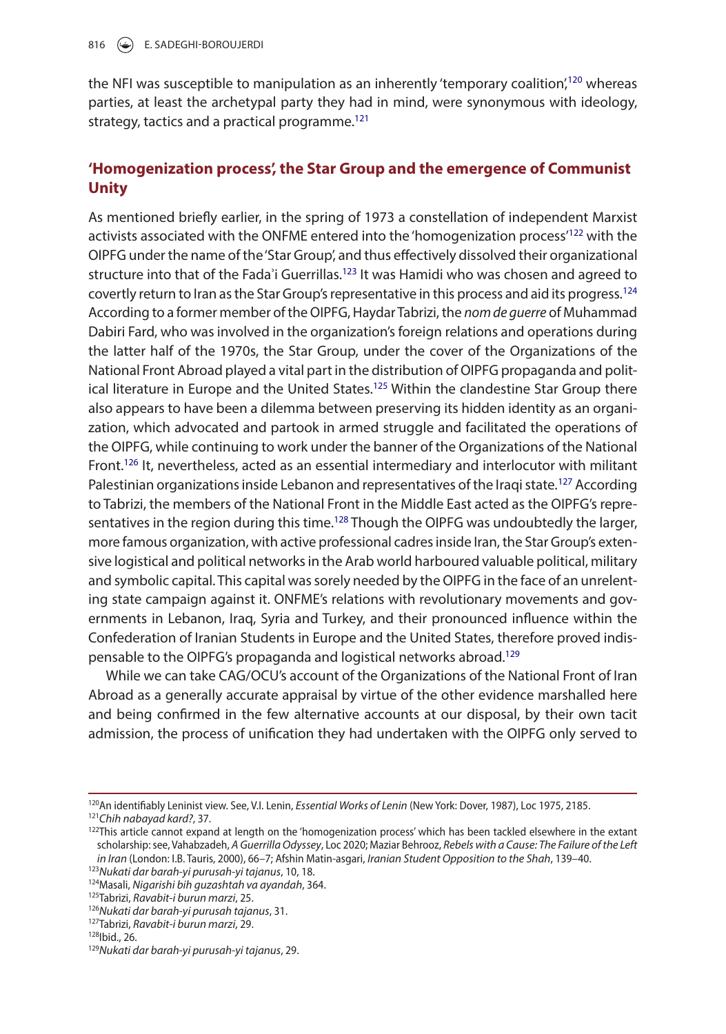the NFI was susceptible to manipulation as an inherently 'temporary coalition',<sup>120</sup> whereas parties, at least the archetypal party they had in mind, were synonymous with ideology, strategy, tactics and a practical programme.<sup>[121](#page-21-1)</sup>

# **'Homogenization process', the Star Group and the emergence of Communist Unity**

As mentioned briefly earlier, in the spring of 1973 a constellation of independent Marxist activists associated with the ONFME entered into the 'homogenization process'<sup>122</sup> with the OIPFG under the name of the 'Star Group', and thus effectively dissolved their organizational structure into that of the Fadaʾi Guerrillas.[123](#page-21-3) It was Hamidi who was chosen and agreed to covertly return to Iran as the Star Group's representative in this process and aid its progress[.124](#page-21-4) According to a former member of the OIPFG, Haydar Tabrizi, the *nom de guerre* of Muhammad Dabiri Fard, who was involved in the organization's foreign relations and operations during the latter half of the 1970s, the Star Group, under the cover of the Organizations of the National Front Abroad played a vital part in the distribution of OIPFG propaganda and political literature in Europe and the United States.<sup>125</sup> Within the clandestine Star Group there also appears to have been a dilemma between preserving its hidden identity as an organization, which advocated and partook in armed struggle and facilitated the operations of the OIPFG, while continuing to work under the banner of the Organizations of the National Front[.126](#page-21-6) It, nevertheless, acted as an essential intermediary and interlocutor with militant Palestinian organizations inside Lebanon and representatives of the Iraqi state.<sup>127</sup> According to Tabrizi, the members of the National Front in the Middle East acted as the OIPFG's representatives in the region during this time.[128](#page-21-8) Though the OIPFG was undoubtedly the larger, more famous organization, with active professional cadres inside Iran, the Star Group's extensive logistical and political networks in the Arab world harboured valuable political, military and symbolic capital. This capital was sorely needed by the OIPFG in the face of an unrelenting state campaign against it. ONFME's relations with revolutionary movements and governments in Lebanon, Iraq, Syria and Turkey, and their pronounced influence within the Confederation of Iranian Students in Europe and the United States, therefore proved indispensable to the OIPFG's propaganda and logistical networks abroad[.129](#page-21-9)

While we can take CAG/OCU's account of the Organizations of the National Front of Iran Abroad as a generally accurate appraisal by virtue of the other evidence marshalled here and being confirmed in the few alternative accounts at our disposal, by their own tacit admission, the process of unification they had undertaken with the OIPFG only served to

<span id="page-21-1"></span><span id="page-21-0"></span><sup>120</sup>An identifiably Leninist view. See, V.I. Lenin, *Essential Works of Lenin* (New York: Dover, 1987), Loc 1975, 2185. <sup>121</sup>*Chih nabayad kard?*, 37.

<span id="page-21-2"></span><sup>&</sup>lt;sup>122</sup>This article cannot expand at length on the 'homogenization process' which has been tackled elsewhere in the extant scholarship: see, Vahabzadeh, *A Guerrilla Odyssey*, Loc 2020; Maziar Behrooz, *Rebels with a Cause: The Failure of the Left in Iran* (London: I.B. Tauris, 2000), 66–7; Afshin Matin-asgari, *Iranian Student Opposition to the Shah*, 139–40. <sup>123</sup>*Nukati dar barah*-*yi purusah*-*yi tajanus*, 10, 18.

<span id="page-21-4"></span><span id="page-21-3"></span><sup>124</sup>Masali, *Nigarishi bih guzashtah va ayandah*, 364.

<span id="page-21-5"></span><sup>125</sup>Tabrizi, *Ravabit*-*i burun marzi*, 25.

<span id="page-21-6"></span><sup>126</sup>*Nukati dar barah*-*yi purusah tajanus*, 31.

<span id="page-21-7"></span><sup>127</sup>Tabrizi, *Ravabit*-*i burun marzi*, 29.

<span id="page-21-8"></span><sup>128</sup>Ibid., 26.

<span id="page-21-9"></span><sup>129</sup>*Nukati dar barah*-*yi purusah*-*yi tajanus*, 29.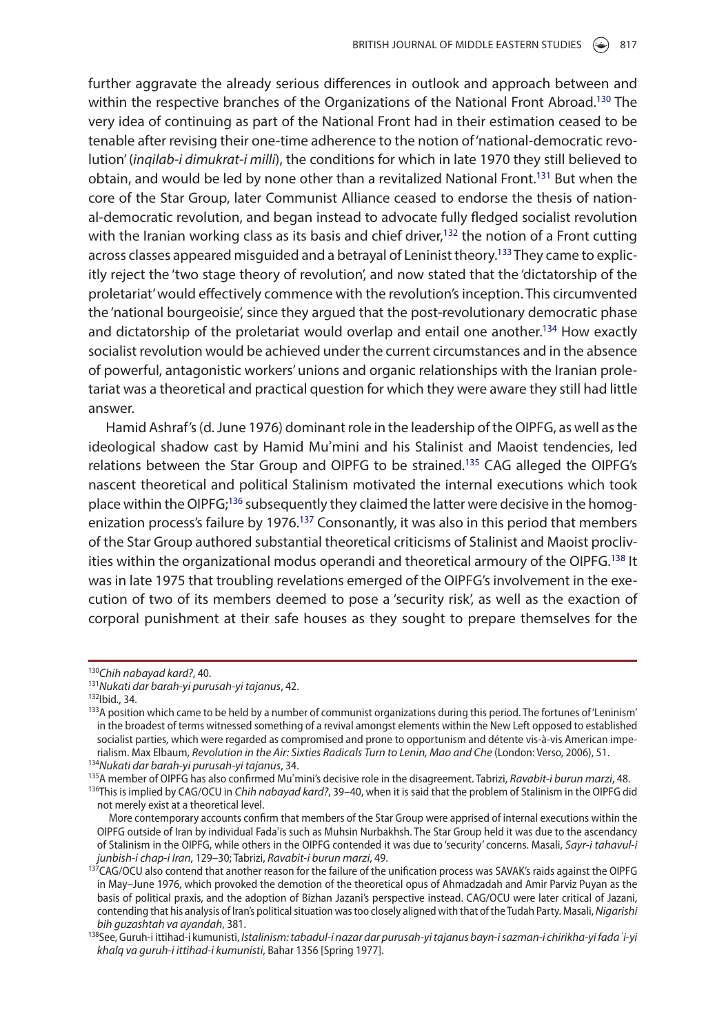further aggravate the already serious differences in outlook and approach between and within the respective branches of the Organizations of the National Front Abroad.<sup>130</sup> The very idea of continuing as part of the National Front had in their estimation ceased to be tenable after revising their one-time adherence to the notion of 'national-democratic revolution' (*inqilab*-*i dimukrat*-*i milli*), the conditions for which in late 1970 they still believed to obtain, and would be led by none other than a revitalized National Front.<sup>131</sup> But when the core of the Star Group, later Communist Alliance ceased to endorse the thesis of national-democratic revolution, and began instead to advocate fully fledged socialist revolution with the Iranian working class as its basis and chief driver, $132$  the notion of a Front cutting across classes appeared misquided and a betrayal of Leninist theory.<sup>133</sup> They came to explicitly reject the 'two stage theory of revolution', and now stated that the 'dictatorship of the proletariat' would effectively commence with the revolution's inception. This circumvented the 'national bourgeoisie', since they argued that the post-revolutionary democratic phase and dictatorship of the proletariat would overlap and entail one another.<sup>134</sup> How exactly socialist revolution would be achieved under the current circumstances and in the absence of powerful, antagonistic workers' unions and organic relationships with the Iranian proletariat was a theoretical and practical question for which they were aware they still had little answer.

Hamid Ashraf's (d. June 1976) dominant role in the leadership of the OIPFG, as well as the ideological shadow cast by Hamid Muʾmini and his Stalinist and Maoist tendencies, led relations between the Star Group and OIPFG to be strained[.135](#page-22-5) CAG alleged the OIPFG's nascent theoretical and political Stalinism motivated the internal executions which took place within the OIPF $G<sub>i</sub>$ <sup>136</sup> subsequently they claimed the latter were decisive in the homogenization process's failure by 1976.<sup>137</sup> Consonantly, it was also in this period that members of the Star Group authored substantial theoretical criticisms of Stalinist and Maoist proclivities within the organizational modus operandi and theoretical armoury of the OIPFG[.138](#page-22-8) It was in late 1975 that troubling revelations emerged of the OIPFG's involvement in the execution of two of its members deemed to pose a 'security risk', as well as the exaction of corporal punishment at their safe houses as they sought to prepare themselves for the

<span id="page-22-0"></span><sup>130</sup>*Chih nabayad kard?*, 40.

<span id="page-22-1"></span><sup>131</sup>*Nukati dar barah*-*yi purusah*-*yi tajanus*, 42.

<span id="page-22-2"></span><sup>132</sup>Ibid., 34.

<span id="page-22-3"></span> $133A$  position which came to be held by a number of communist organizations during this period. The fortunes of 'Leninism' in the broadest of terms witnessed something of a revival amongst elements within the New Left opposed to established socialist parties, which were regarded as compromised and prone to opportunism and détente vis-à-vis American imperialism. Max Elbaum, *Revolution in the Air: Sixties Radicals Turn to Lenin, Mao and Che* (London: Verso, 2006), 51. <sup>134</sup>*Nukati dar barah*-*yi purusah*-*yi tajanus*, 34.

<span id="page-22-5"></span><span id="page-22-4"></span><sup>135</sup>A member of OIPFG has also confirmed Muʾmini's decisive role in the disagreement. Tabrizi, *Ravabit*-*i burun marzi*, 48.

<span id="page-22-6"></span><sup>136</sup>This is implied by CAG/OCU in *Chih nabayad kard?*, 39–40, when it is said that the problem of Stalinism in the OIPFG did not merely exist at a theoretical level.

More contemporary accounts confirm that members of the Star Group were apprised of internal executions within the OIPFG outside of Iran by individual Fadaʾis such as Muhsin Nurbakhsh. The Star Group held it was due to the ascendancy of Stalinism in the OIPFG, while others in the OIPFG contended it was due to 'security' concerns. Masali, *Sayr*-*i tahavul*-*i junbish*-*i chap*-*i Iran*, 129–30; Tabrizi, *Ravabit*-*i burun marzi*, 49.

<span id="page-22-7"></span><sup>&</sup>lt;sup>137</sup>CAG/OCU also contend that another reason for the failure of the unification process was SAVAK's raids against the OIPFG in May–June 1976, which provoked the demotion of the theoretical opus of Ahmadzadah and Amir Parviz Puyan as the basis of political praxis, and the adoption of Bizhan Jazani's perspective instead. CAG/OCU were later critical of Jazani, contending that his analysis of Iran's political situation was too closely aligned with that of the Tudah Party. Masali, *Nigarishi bih guzashtah va ayandah*, 381.

<span id="page-22-8"></span><sup>138</sup>See, Guruh-i ittihad-i kumunisti, *Istalinism: tabadul*-*i nazar dar purusah*-*yi tajanus bayn*-*i sazman*-*i chirikha*-*yi fadaʾi*-*yi khalq va guruh*-*i ittihad*-*i kumunisti*, Bahar 1356 [Spring 1977].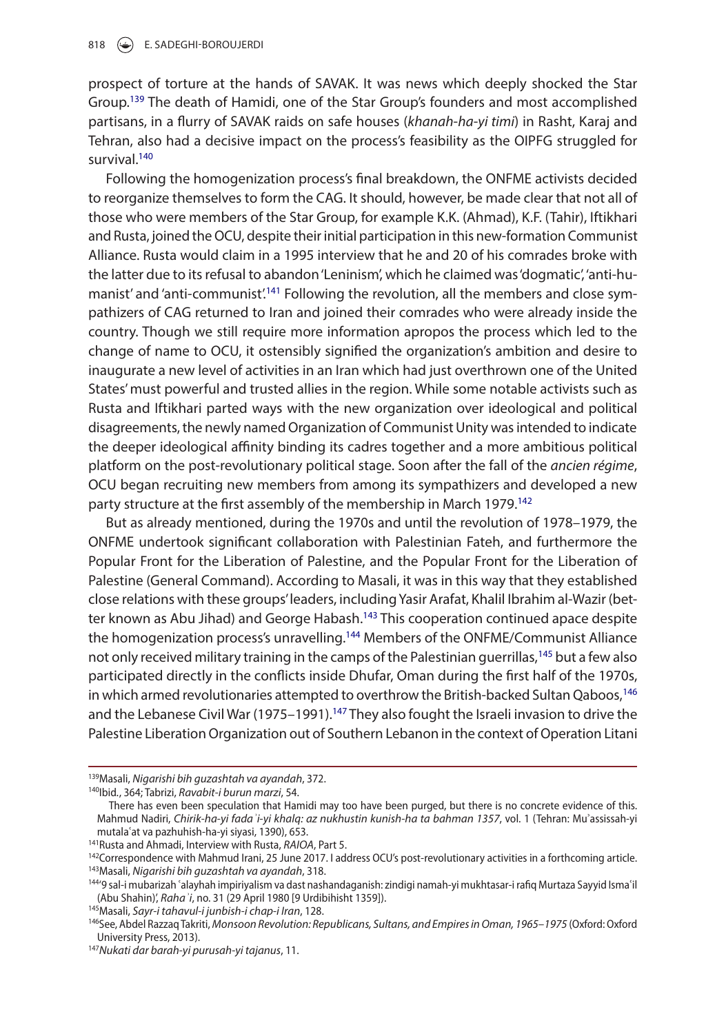prospect of torture at the hands of SAVAK. It was news which deeply shocked the Star Group[.139](#page-23-0) The death of Hamidi, one of the Star Group's founders and most accomplished partisans, in a flurry of SAVAK raids on safe houses (*khanah*-*ha*-*yi timi*) in Rasht, Karaj and Tehran, also had a decisive impact on the process's feasibility as the OIPFG struggled for survival.<sup>140</sup>

Following the homogenization process's final breakdown, the ONFME activists decided to reorganize themselves to form the CAG. It should, however, be made clear that not all of those who were members of the Star Group, for example K.K. (Ahmad), K.F. (Tahir), Iftikhari and Rusta, joined the OCU, despite their initial participation in this new-formation Communist Alliance. Rusta would claim in a 1995 interview that he and 20 of his comrades broke with the latter due to its refusal to abandon 'Leninism', which he claimed was 'dogmatic', 'anti-humanist' and 'anti-communist'.[141](#page-23-2) Following the revolution, all the members and close sympathizers of CAG returned to Iran and joined their comrades who were already inside the country. Though we still require more information apropos the process which led to the change of name to OCU, it ostensibly signified the organization's ambition and desire to inaugurate a new level of activities in an Iran which had just overthrown one of the United States' must powerful and trusted allies in the region. While some notable activists such as Rusta and Iftikhari parted ways with the new organization over ideological and political disagreements, the newly named Organization of Communist Unity was intended to indicate the deeper ideological affinity binding its cadres together and a more ambitious political platform on the post-revolutionary political stage. Soon after the fall of the *ancien régime*, OCU began recruiting new members from among its sympathizers and developed a new party structure at the first assembly of the membership in March 1979.<sup>[142](#page-23-3)</sup>

But as already mentioned, during the 1970s and until the revolution of 1978–1979, the ONFME undertook significant collaboration with Palestinian Fateh, and furthermore the Popular Front for the Liberation of Palestine, and the Popular Front for the Liberation of Palestine (General Command). According to Masali, it was in this way that they established close relations with these groups' leaders, including Yasir Arafat, Khalil Ibrahim al-Wazir (better known as Abu Jihad) and George Habash.<sup>143</sup> This cooperation continued apace despite the homogenization process's unravelling[.144](#page-23-5) Members of the ONFME/Communist Alliance not only received military training in the camps of the Palestinian guerrillas,<sup>145</sup> but a few also participated directly in the conflicts inside Dhufar, Oman during the first half of the 1970s, in which armed revolutionaries attempted to overthrow the British-backed Sultan Qaboos,<sup>146</sup> and the Lebanese Civil War (1975–1991).<sup>147</sup> They also fought the Israeli invasion to drive the Palestine Liberation Organization out of Southern Lebanon in the context of Operation Litani

<span id="page-23-6"></span>145Masali, *Sayr*-*i tahavul*-*i junbish*-*i chap*-*i Iran*, 128.

<span id="page-23-0"></span><sup>139</sup>Masali, *Nigarishi bih guzashtah va ayandah*, 372.

<span id="page-23-1"></span><sup>140</sup>Ibid*.*, 364; Tabrizi, *Ravabit*-*i burun marzi*, 54.

There has even been speculation that Hamidi may too have been purged, but there is no concrete evidence of this. Mahmud Nadiri, *Chirik*-*ha*-*yi fadaʾi*-*yi khalq: az nukhustin kunish*-*ha ta bahman 1357*, vol. 1 (Tehran: Muʾassissah-yi mutalaʿat va pazhuhish-ha-yi siyasi, 1390), 653.

<span id="page-23-2"></span><sup>141</sup>Rusta and Ahmadi, Interview with Rusta, *RAIOA*, Part 5.

<span id="page-23-4"></span><span id="page-23-3"></span> $142$ Correspondence with Mahmud Irani, 25 June 2017. I address OCU's post-revolutionary activities in a forthcoming article. 143Masali, *Nigarishi bih guzashtah va ayandah*, 318.

<span id="page-23-5"></span><sup>144&#</sup>x27;9 sal-i mubarizah ʿalayhah impiriyalism va dast nashandaganish: zindigi namah-yi mukhtasar-i rafiq Murtaza Sayyid Ismaʿil (Abu Shahin)', *Rahaʾi*, no. 31 (29 April 1980 [9 Urdibihisht 1359]).

<span id="page-23-7"></span><sup>146</sup>See, Abdel Razzaq Takriti, *Monsoon Revolution: Republicans, Sultans, and Empires in Oman, 1965*–*1975* (Oxford: Oxford University Press, 2013).

<span id="page-23-8"></span><sup>147</sup>*Nukati dar barah*-*yi purusah*-*yi tajanus*, 11.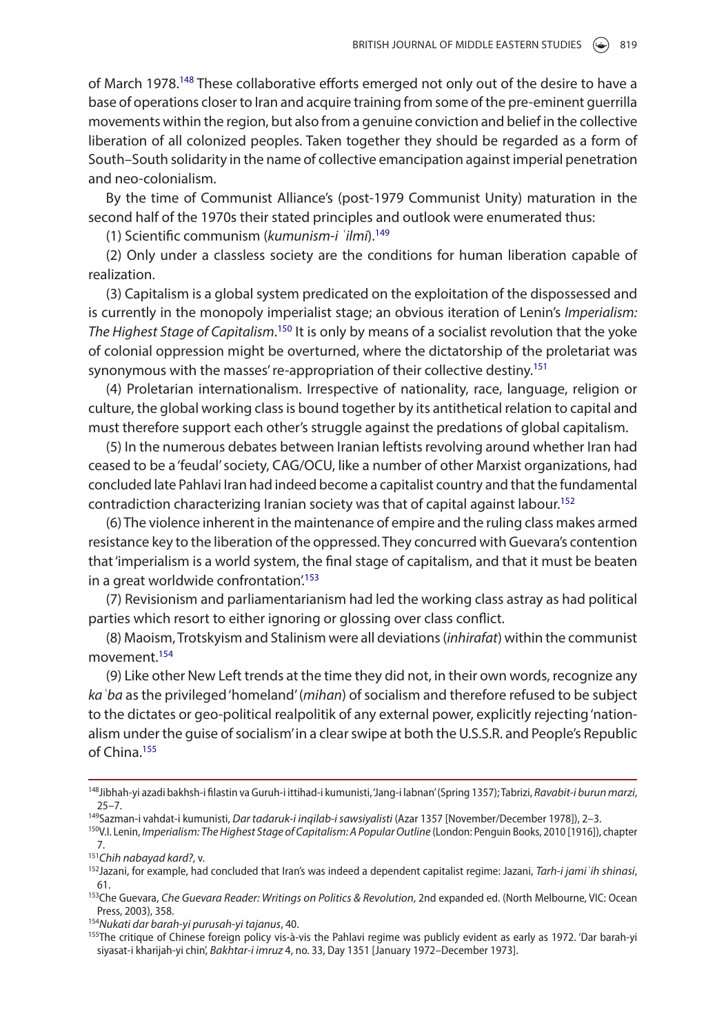of March 1978.[148](#page-24-0) These collaborative efforts emerged not only out of the desire to have a base of operations closer to Iran and acquire training from some of the pre-eminent guerrilla movements within the region, but also from a genuine conviction and belief in the collective liberation of all colonized peoples. Taken together they should be regarded as a form of South–South solidarity in the name of collective emancipation against imperial penetration and neo-colonialism.

By the time of Communist Alliance's (post-1979 Communist Unity) maturation in the second half of the 1970s their stated principles and outlook were enumerated thus:

(1) Scientific communism (*kumunism*-*i ʿilmi*).[149](#page-24-1)

(2) Only under a classless society are the conditions for human liberation capable of realization.

(3) Capitalism is a global system predicated on the exploitation of the dispossessed and is currently in the monopoly imperialist stage; an obvious iteration of Lenin's *Imperialism:*  The Highest Stage of Capitalism.<sup>150</sup> It is only by means of a socialist revolution that the yoke of colonial oppression might be overturned, where the dictatorship of the proletariat was synonymous with the masses' re-appropriation of their collective destiny.<sup>151</sup>

(4) Proletarian internationalism. Irrespective of nationality, race, language, religion or culture, the global working class is bound together by its antithetical relation to capital and must therefore support each other's struggle against the predations of global capitalism.

(5) In the numerous debates between Iranian leftists revolving around whether Iran had ceased to be a 'feudal' society, CAG/OCU, like a number of other Marxist organizations, had concluded late Pahlavi Iran had indeed become a capitalist country and that the fundamental contradiction characterizing Iranian society was that of capital against labour.[152](#page-24-4)

(6) The violence inherent in the maintenance of empire and the ruling class makes armed resistance key to the liberation of the oppressed. They concurred with Guevara's contention that 'imperialism is a world system, the final stage of capitalism, and that it must be beaten in a great worldwide confrontation<sup>'[153](#page-24-5)</sup>

(7) Revisionism and parliamentarianism had led the working class astray as had political parties which resort to either ignoring or glossing over class conflict.

(8) Maoism, Trotskyism and Stalinism were all deviations (*inhirafat*) within the communist movement.[154](#page-24-6)

(9) Like other New Left trends at the time they did not, in their own words, recognize any *kaʿba* as the privileged 'homeland' (*mihan*) of socialism and therefore refused to be subject to the dictates or geo-political realpolitik of any external power, explicitly rejecting 'nationalism under the guise of socialism' in a clear swipe at both the U.S.S.R. and People's Republic of China.[155](#page-24-7)

<span id="page-24-3"></span><sup>151</sup>*Chih nabayad kard?*, v.

<span id="page-24-0"></span><sup>148</sup>Jibhah-yi azadi bakhsh-i filastin va Guruh-i ittihad-i kumunisti, 'Jang-i labnan' (Spring 1357); Tabrizi, *Ravabit*-*i burun marzi*,  $25 - 7$ 

<span id="page-24-1"></span><sup>149</sup>Sazman-i vahdat-i kumunisti, *Dar tadaruk*-*i inqilab*-*i sawsiyalisti* (Azar 1357 [November/December 1978]), 2–3.

<span id="page-24-2"></span><sup>&</sup>lt;sup>150</sup>V.I. Lenin, *Imperialism: The Highest Stage of Capitalism: A Popular Outline* (London: Penguin Books, 2010 [1916]), chapter 7.

<span id="page-24-4"></span><sup>152</sup>Jazani, for example, had concluded that Iran's was indeed a dependent capitalist regime: Jazani, *Tarh*-*i jamiʿih shinasi*, 61.

<span id="page-24-5"></span><sup>&</sup>lt;sup>153</sup>Che Guevara, *Che Guevara Reader: Writings on Politics & Revolution*, 2nd expanded ed. (North Melbourne, VIC: Ocean Press, 2003), 358.

<span id="page-24-6"></span><sup>154</sup>*Nukati dar barah*-*yi purusah*-*yi tajanus*, 40.

<span id="page-24-7"></span><sup>&</sup>lt;sup>155</sup>The critique of Chinese foreign policy vis-à-vis the Pahlavi regime was publicly evident as early as 1972. 'Dar barah-yi siyasat-i kharijah-yi chin', *Bakhtar*-*i imruz* 4, no. 33, Day 1351 [January 1972–December 1973].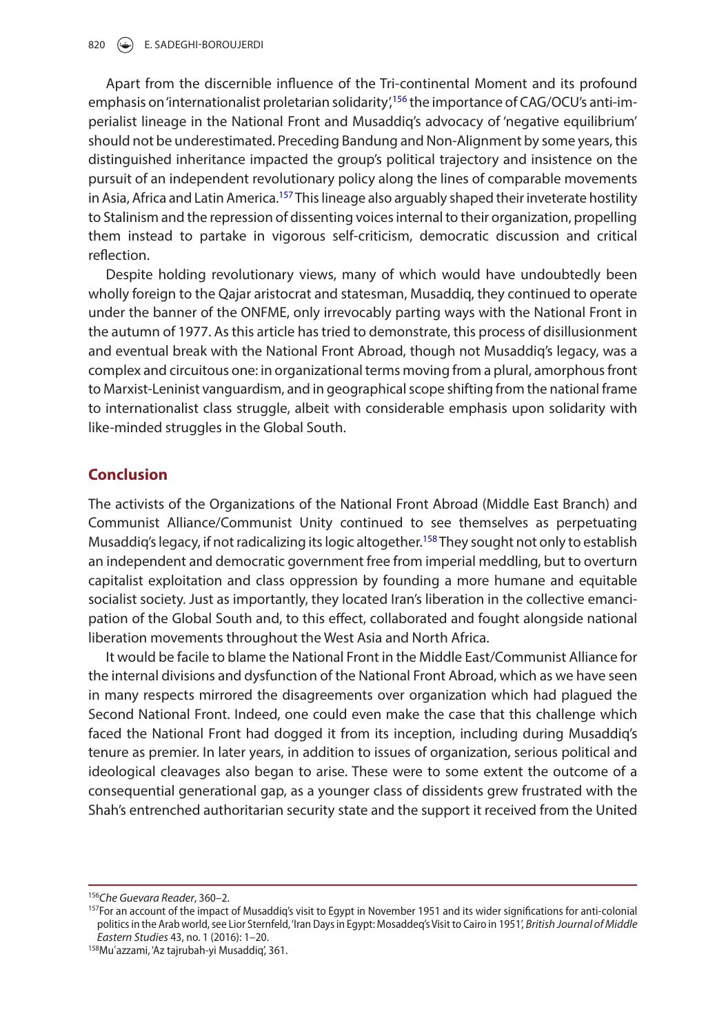Apart from the discernible influence of the Tri-continental Moment and its profound emphasis on 'internationalist proletarian solidarity',[156](#page-25-0) the importance of CAG/OCU's anti-imperialist lineage in the National Front and Musaddiq's advocacy of 'negative equilibrium' should not be underestimated. Preceding Bandung and Non-Alignment by some years, this distinguished inheritance impacted the group's political trajectory and insistence on the pursuit of an independent revolutionary policy along the lines of comparable movements in Asia, Africa and Latin America.<sup>[157](#page-25-1)</sup> This lineage also arguably shaped their inveterate hostility to Stalinism and the repression of dissenting voices internal to their organization, propelling them instead to partake in vigorous self-criticism, democratic discussion and critical reflection.

Despite holding revolutionary views, many of which would have undoubtedly been wholly foreign to the Qajar aristocrat and statesman, Musaddiq, they continued to operate under the banner of the ONFME, only irrevocably parting ways with the National Front in the autumn of 1977. As this article has tried to demonstrate, this process of disillusionment and eventual break with the National Front Abroad, though not Musaddiq's legacy, was a complex and circuitous one: in organizational terms moving from a plural, amorphous front to Marxist-Leninist vanguardism, and in geographical scope shifting from the national frame to internationalist class struggle, albeit with considerable emphasis upon solidarity with like-minded struggles in the Global South.

#### **Conclusion**

The activists of the Organizations of the National Front Abroad (Middle East Branch) and Communist Alliance/Communist Unity continued to see themselves as perpetuating Musaddiq's legacy, if not radicalizing its logic altogether[.158](#page-25-2) They sought not only to establish an independent and democratic government free from imperial meddling, but to overturn capitalist exploitation and class oppression by founding a more humane and equitable socialist society. Just as importantly, they located Iran's liberation in the collective emancipation of the Global South and, to this effect, collaborated and fought alongside national liberation movements throughout the West Asia and North Africa.

It would be facile to blame the National Front in the Middle East/Communist Alliance for the internal divisions and dysfunction of the National Front Abroad, which as we have seen in many respects mirrored the disagreements over organization which had plagued the Second National Front. Indeed, one could even make the case that this challenge which faced the National Front had dogged it from its inception, including during Musaddiq's tenure as premier. In later years, in addition to issues of organization, serious political and ideological cleavages also began to arise. These were to some extent the outcome of a consequential generational gap, as a younger class of dissidents grew frustrated with the Shah's entrenched authoritarian security state and the support it received from the United

<span id="page-25-0"></span><sup>156</sup>*Che Guevara Reader*, 360–2.

<span id="page-25-1"></span><sup>&</sup>lt;sup>157</sup>For an account of the impact of Musaddiq's visit to Egypt in November 1951 and its wider significations for anti-colonial politics in the Arab world, see Lior Sternfeld, 'Iran Days in Egypt: Mosaddeq's Visit to Cairo in 1951', *British Journal of Middle Eastern Studies* 43, no. 1 (2016): 1–20.

<span id="page-25-2"></span><sup>158</sup>Mu'azzami, 'Az tajrubah-yi Musaddiq', 361.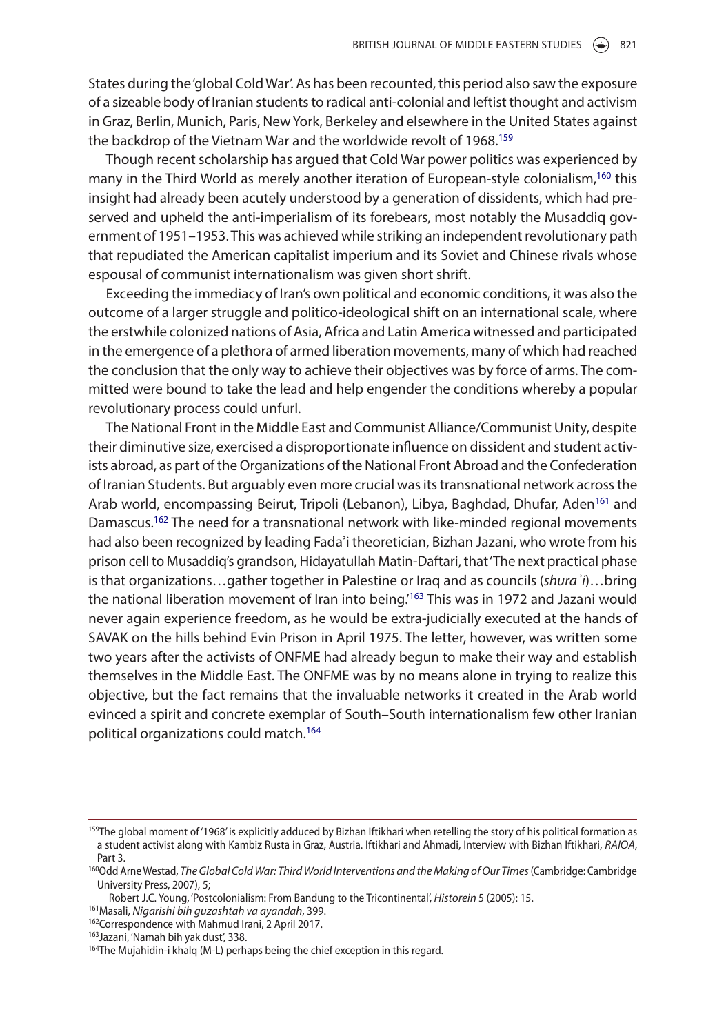States during the 'global Cold War'. As has been recounted, this period also saw the exposure of a sizeable body of Iranian students to radical anti-colonial and leftist thought and activism in Graz, Berlin, Munich, Paris, New York, Berkeley and elsewhere in the United States against the backdrop of the Vietnam War and the worldwide revolt of 1968.<sup>[159](#page-26-0)</sup>

Though recent scholarship has argued that Cold War power politics was experienced by many in the Third World as merely another iteration of European-style colonialism,<sup>160</sup> this insight had already been acutely understood by a generation of dissidents, which had preserved and upheld the anti-imperialism of its forebears, most notably the Musaddiq government of 1951–1953. This was achieved while striking an independent revolutionary path that repudiated the American capitalist imperium and its Soviet and Chinese rivals whose espousal of communist internationalism was given short shrift.

Exceeding the immediacy of Iran's own political and economic conditions, it was also the outcome of a larger struggle and politico-ideological shift on an international scale, where the erstwhile colonized nations of Asia, Africa and Latin America witnessed and participated in the emergence of a plethora of armed liberation movements, many of which had reached the conclusion that the only way to achieve their objectives was by force of arms. The committed were bound to take the lead and help engender the conditions whereby a popular revolutionary process could unfurl.

The National Front in the Middle East and Communist Alliance/Communist Unity, despite their diminutive size, exercised a disproportionate influence on dissident and student activists abroad, as part of the Organizations of the National Front Abroad and the Confederation of Iranian Students. But arguably even more crucial was its transnational network across the Arab world, encompassing Beirut, Tripoli (Lebanon), Libya, Baghdad, Dhufar, Ade[n161](#page-26-2) and Damascus.[162](#page-26-3) The need for a transnational network with like-minded regional movements had also been recognized by leading Fadaʾi theoretician, Bizhan Jazani, who wrote from his prison cell to Musaddiq's grandson, Hidayatullah Matin-Daftari, that 'The next practical phase is that organizations…gather together in Palestine or Iraq and as councils (*shuraʾi*)…bring the national liberation movement of Iran into being.<sup>163</sup> This was in 1972 and Jazani would never again experience freedom, as he would be extra-judicially executed at the hands of SAVAK on the hills behind Evin Prison in April 1975. The letter, however, was written some two years after the activists of ONFME had already begun to make their way and establish themselves in the Middle East. The ONFME was by no means alone in trying to realize this objective, but the fact remains that the invaluable networks it created in the Arab world evinced a spirit and concrete exemplar of South–South internationalism few other Iranian political organizations could match[.164](#page-26-5)

<span id="page-26-0"></span><sup>&</sup>lt;sup>159</sup>The global moment of '1968' is explicitly adduced by Bizhan Iftikhari when retelling the story of his political formation as a student activist along with Kambiz Rusta in Graz, Austria. Iftikhari and Ahmadi, Interview with Bizhan Iftikhari, *RAIOA*, Part 3.

<span id="page-26-1"></span><sup>&</sup>lt;sup>160</sup>Odd Arne Westad, *The Global Cold War: Third World Interventions and the Making of Our Times* (Cambridge: Cambridge University Press, 2007), 5;

Robert J.C. Young, 'Postcolonialism: From Bandung to the Tricontinental', *Historein* 5 (2005): 15.

<span id="page-26-2"></span><sup>161</sup>Masali, *Nigarishi bih guzashtah va ayandah*, 399.

<span id="page-26-3"></span><sup>&</sup>lt;sup>162</sup>Correspondence with Mahmud Irani, 2 April 2017.

<span id="page-26-4"></span><sup>163</sup> Jazani, 'Namah bih yak dust', 338.

<span id="page-26-5"></span><sup>164</sup>The Mujahidin-i khalq (M-L) perhaps being the chief exception in this regard.